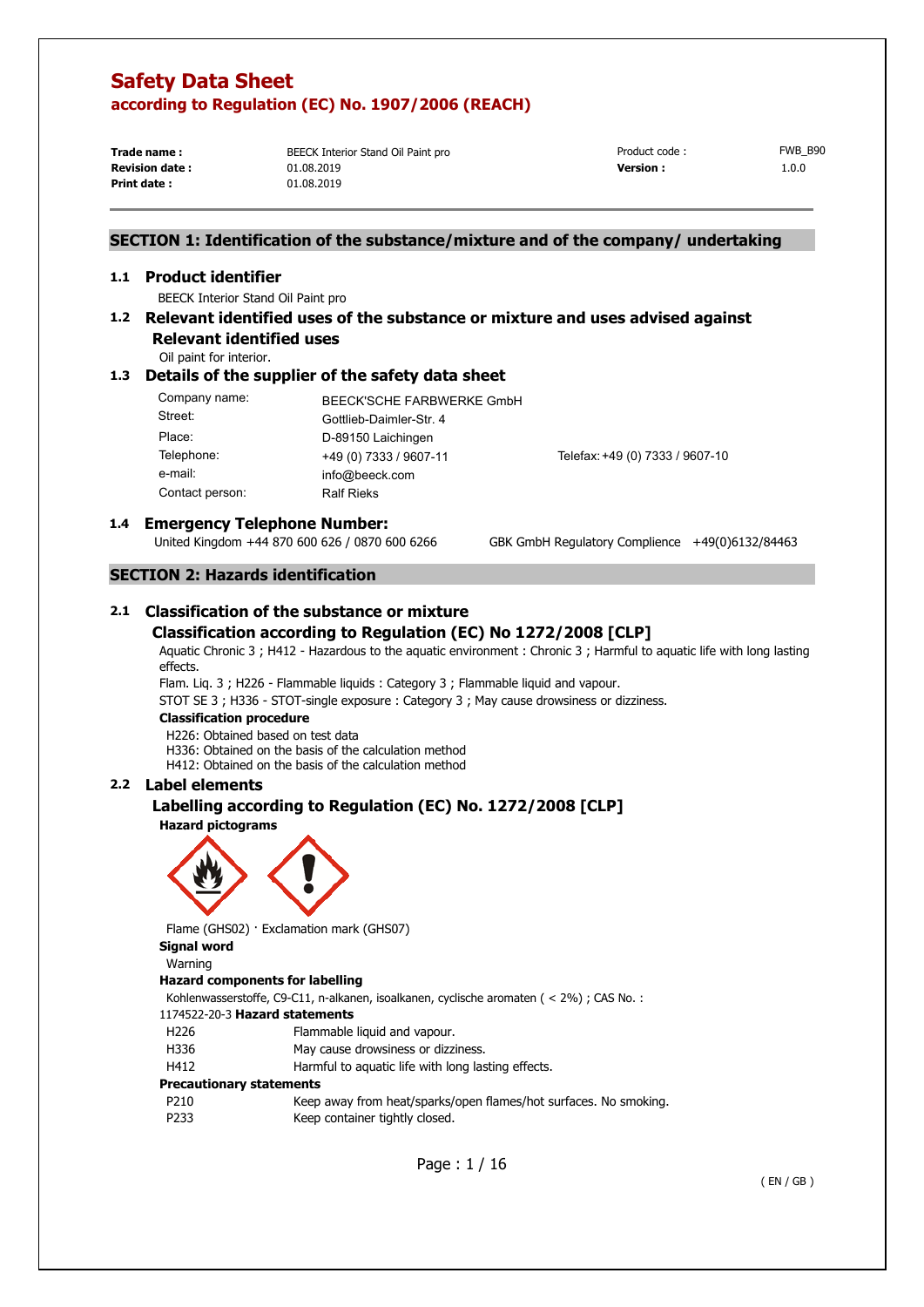**Trade name : Print date :** 

BEECK Interior Stand Oil Paint pro 01.08.2019 01.08.2019

**Revision date :** 01.08.2019 **1.0.0 1.0.0 Version : 1.0.0** Product code : FWB B90

## **SECTION 1: Identification of the substance/mixture and of the company/ undertaking**

#### **1.1 Product identifier**

BEECK Interior Stand Oil Paint pro

## **1.2 Relevant identified uses of the substance or mixture and uses advised against**

**Relevant identified uses**  Oil paint for interior.

## **1.3 Details of the supplier of the safety data sheet**

| Company name:   | BEECK'SCHE FARBWERKE GmbH |                                 |
|-----------------|---------------------------|---------------------------------|
| Street:         | Gottlieb-Daimler-Str. 4   |                                 |
| Place:          | D-89150 Laichingen        |                                 |
| Telephone:      | +49 (0) 7333 / 9607-11    | Telefax: +49 (0) 7333 / 9607-10 |
| e-mail:         | info@beeck.com            |                                 |
| Contact person: | <b>Ralf Rieks</b>         |                                 |

# **1.4 <b>Emergency Telephone Number:**<br>United Kingdom +44 870 600 626 / 0870 600 6266

GBK GmbH Regulatory Complience +49(0)6132/84463

## **SECTION 2: Hazards identification**

## **2.1 Classification of the substance or mixture Classification according to Regulation (EC) No 1272/2008 [CLP]**

Aquatic Chronic 3 ; H412 - Hazardous to the aquatic environment : Chronic 3 ; Harmful to aquatic life with long lasting effects.

Flam. Liq. 3 ; H226 - Flammable liquids : Category 3 ; Flammable liquid and vapour.

STOT SE 3 ; H336 - STOT-single exposure : Category 3 ; May cause drowsiness or dizziness.

#### **Classification procedure**

H226: Obtained based on test data

H336: Obtained on the basis of the calculation method

H412: Obtained on the basis of the calculation method

### **2.2 Label elements**

## **Labelling according to Regulation (EC) No. 1272/2008 [CLP]**

**Hazard pictograms** 



Flame (GHS02) · Exclamation mark (GHS07)

**Signal word** 

### Warning

#### **Hazard components for labelling**

Kohlenwasserstoffe, C9-C11, n-alkanen, isoalkanen, cyclische aromaten ( < 2%) ; CAS No. :

#### 1174522-20-3 **Hazard statements**

- H226 Flammable liquid and vapour.
- H336 May cause drowsiness or dizziness.
- H412 Harmful to aquatic life with long lasting effects.

#### **Precautionary statements**

P210 Keep away from heat/sparks/open flames/hot surfaces. No smoking. P233 Keep container tightly closed.

Page : 1 / 16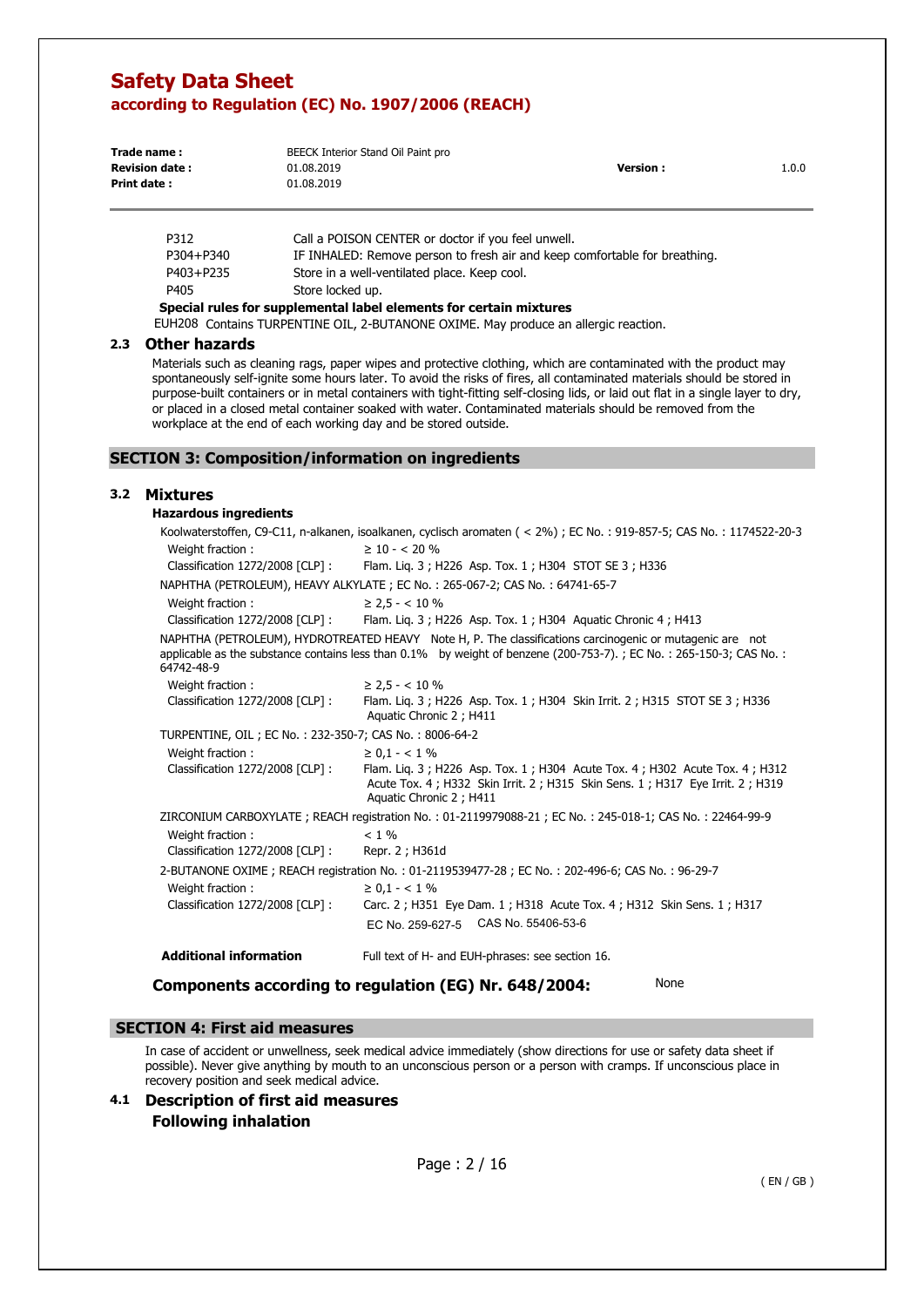| Trade name:           | BEECK Interior Stand Oil Paint pro |           |       |
|-----------------------|------------------------------------|-----------|-------|
| <b>Revision date:</b> | 01.08.2019                         | Version . | 1.0.0 |
| Print date:           | 01.08.2019                         |           |       |

| Special rules for supplemental label elements for certain mixtures |                                                                            |  |  |
|--------------------------------------------------------------------|----------------------------------------------------------------------------|--|--|
| P405                                                               | Store locked up.                                                           |  |  |
| P403+P235                                                          | Store in a well-ventilated place. Keep cool.                               |  |  |
| P304+P340                                                          | IF INHALED: Remove person to fresh air and keep comfortable for breathing. |  |  |
| P312                                                               | Call a POISON CENTER or doctor if you feel unwell.                         |  |  |

EUH208 Contains TURPENTINE OIL, 2-BUTANONE OXIME. May produce an allergic reaction.

#### **2.3 Other hazards**

Materials such as cleaning rags, paper wipes and protective clothing, which are contaminated with the product may spontaneously self-ignite some hours later. To avoid the risks of fires, all contaminated materials should be stored in purpose-built containers or in metal containers with tight-fitting self-closing lids, or laid out flat in a single layer to dry, or placed in a closed metal container soaked with water. Contaminated materials should be removed from the workplace at the end of each working day and be stored outside.

## **SECTION 3: Composition/information on ingredients**

#### **3.2 Mixtures**

| <b>Hazardous ingredients</b>                              |                                                                                                                                                                                                                                |
|-----------------------------------------------------------|--------------------------------------------------------------------------------------------------------------------------------------------------------------------------------------------------------------------------------|
|                                                           | Koolwaterstoffen, C9-C11, n-alkanen, isoalkanen, cyclisch aromaten (< 2%); EC No.: 919-857-5; CAS No.: 1174522-20-3                                                                                                            |
| Weight fraction:                                          | $\geq 10 - 5.20$ %                                                                                                                                                                                                             |
| Classification 1272/2008 [CLP] :                          | Flam. Lig. 3; H226 Asp. Tox. 1; H304 STOT SE 3; H336                                                                                                                                                                           |
|                                                           | NAPHTHA (PETROLEUM), HEAVY ALKYLATE; EC No.: 265-067-2; CAS No.: 64741-65-7                                                                                                                                                    |
| Weight fraction:                                          | $\geq$ 2.5 - < 10 %                                                                                                                                                                                                            |
| Classification 1272/2008 [CLP] :                          | Flam. Lig. 3; H226 Asp. Tox. 1; H304 Aguatic Chronic 4; H413                                                                                                                                                                   |
| 64742-48-9                                                | NAPHTHA (PETROLEUM), HYDROTREATED HEAVY Note H, P. The classifications carcinogenic or mutagenic are not<br>applicable as the substance contains less than 0.1% by weight of benzene (200-753-7).; EC No.: 265-150-3; CAS No.: |
| Weight fraction:                                          | $\geq$ 2,5 - < 10 %                                                                                                                                                                                                            |
| Classification 1272/2008 [CLP] :                          | Flam. Liq. 3; H226 Asp. Tox. 1; H304 Skin Irrit. 2; H315 STOT SE 3; H336<br>Aquatic Chronic 2; H411                                                                                                                            |
| TURPENTINE, OIL ; EC No. : 232-350-7; CAS No. : 8006-64-2 |                                                                                                                                                                                                                                |
| Weight fraction:                                          | $\geq 0.1 - < 1\%$                                                                                                                                                                                                             |
| Classification 1272/2008 [CLP] :                          | Flam. Lig. 3; H226 Asp. Tox. 1; H304 Acute Tox. 4; H302 Acute Tox. 4; H312<br>Acute Tox. 4; H332 Skin Irrit. 2; H315 Skin Sens. 1; H317 Eye Irrit. 2; H319<br>Aquatic Chronic 2; H411                                          |
|                                                           | ZIRCONIUM CARBOXYLATE; REACH registration No.: 01-2119979088-21; EC No.: 245-018-1; CAS No.: 22464-99-9                                                                                                                        |
| Weight fraction:                                          | $< 1\%$                                                                                                                                                                                                                        |
| Classification 1272/2008 [CLP] :                          | Repr. 2 ; H361d                                                                                                                                                                                                                |
|                                                           | 2-BUTANONE OXIME; REACH registration No.: 01-2119539477-28; EC No.: 202-496-6; CAS No.: 96-29-7                                                                                                                                |
| Weight fraction:                                          | $\geq 0.1 - < 1\%$                                                                                                                                                                                                             |
| Classification 1272/2008 [CLP] :                          | Carc. 2; H351 Eye Dam. 1; H318 Acute Tox. 4; H312 Skin Sens. 1; H317                                                                                                                                                           |
|                                                           | EC No. 259-627-5 CAS No. 55406-53-6                                                                                                                                                                                            |
| <b>Additional information</b>                             | Full text of H- and EUH-phrases: see section 16.                                                                                                                                                                               |
|                                                           | None<br>Components according to regulation (EG) Nr. 648/2004:                                                                                                                                                                  |

#### **SECTION 4: First aid measures**

In case of accident or unwellness, seek medical advice immediately (show directions for use or safety data sheet if possible). Never give anything by mouth to an unconscious person or a person with cramps. If unconscious place in recovery position and seek medical advice.

**4.1 Description of first aid measures Following inhalation**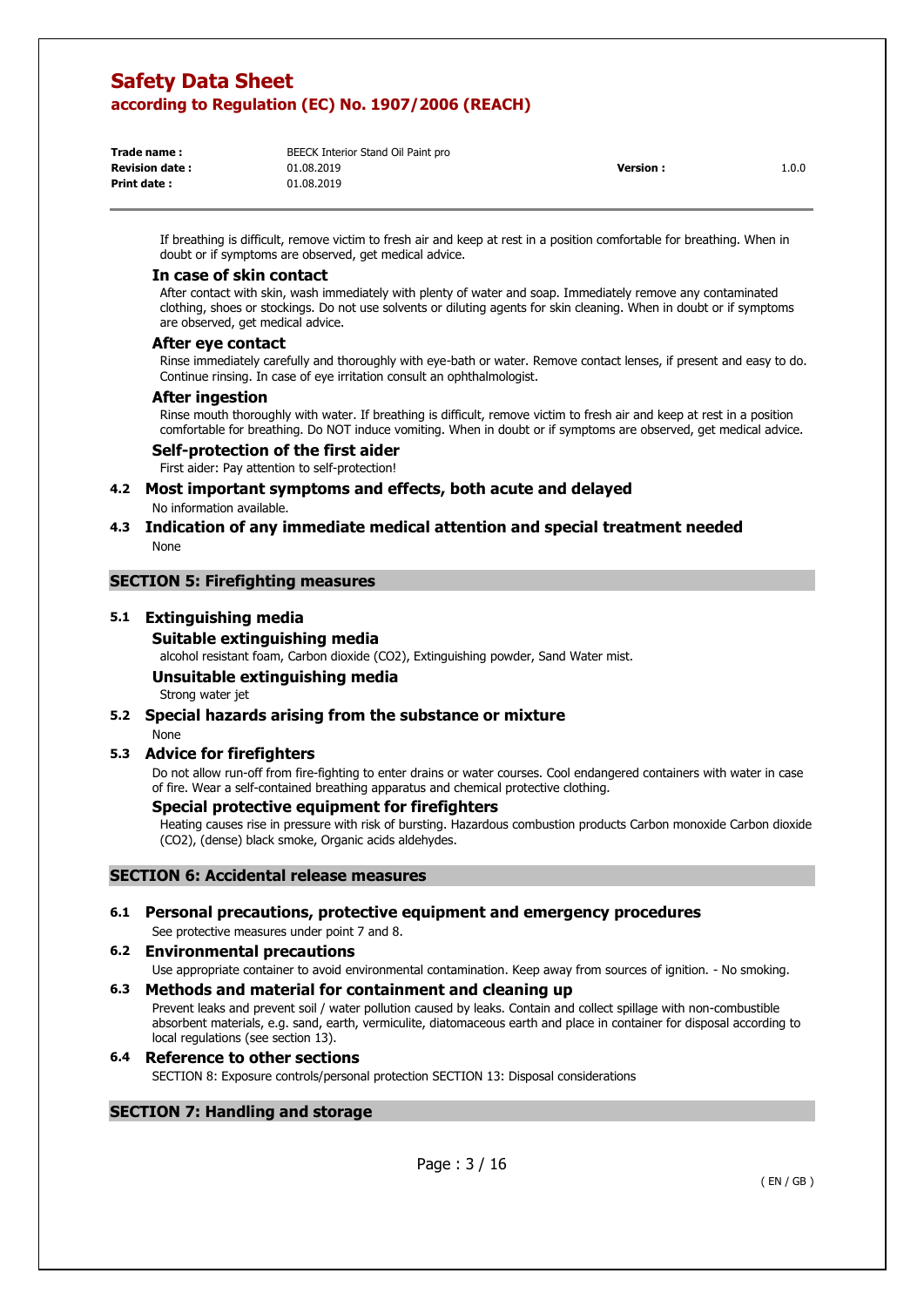| Trade name:           | BEECK Interior Stand Oil Paint pro |                 |       |
|-----------------------|------------------------------------|-----------------|-------|
| <b>Revision date:</b> | 01.08.2019                         | <b>Version:</b> | 1.0.0 |
| Print date:           | 01.08.2019                         |                 |       |
|                       |                                    |                 |       |

If breathing is difficult, remove victim to fresh air and keep at rest in a position comfortable for breathing. When in doubt or if symptoms are observed, get medical advice.

#### **In case of skin contact**

After contact with skin, wash immediately with plenty of water and soap. Immediately remove any contaminated clothing, shoes or stockings. Do not use solvents or diluting agents for skin cleaning. When in doubt or if symptoms are observed, get medical advice.

#### **After eye contact**

Rinse immediately carefully and thoroughly with eye-bath or water. Remove contact lenses, if present and easy to do. Continue rinsing. In case of eye irritation consult an ophthalmologist.

#### **After ingestion**

Rinse mouth thoroughly with water. If breathing is difficult, remove victim to fresh air and keep at rest in a position comfortable for breathing. Do NOT induce vomiting. When in doubt or if symptoms are observed, get medical advice.

#### **Self-protection of the first aider**

First aider: Pay attention to self-protection!

# **4.2 Most important symptoms and effects, both acute and delayed**

No information available.

### **4.3 Indication of any immediate medical attention and special treatment needed**  None

#### **SECTION 5: Firefighting measures**

#### **5.1 Extinguishing media**

#### **Suitable extinguishing media**

alcohol resistant foam, Carbon dioxide (CO2), Extinguishing powder, Sand Water mist.

### **Unsuitable extinguishing media**

Strong water jet

### **5.2 Special hazards arising from the substance or mixture**

#### None

#### **5.3 Advice for firefighters**

Do not allow run-off from fire-fighting to enter drains or water courses. Cool endangered containers with water in case of fire. Wear a self-contained breathing apparatus and chemical protective clothing.

### **Special protective equipment for firefighters**

Heating causes rise in pressure with risk of bursting. Hazardous combustion products Carbon monoxide Carbon dioxide (CO2), (dense) black smoke, Organic acids aldehydes.

### **SECTION 6: Accidental release measures**

#### **6.1 Personal precautions, protective equipment and emergency procedures**  See protective measures under point 7 and 8.

### **6.2 Environmental precautions**

Use appropriate container to avoid environmental contamination. Keep away from sources of ignition. - No smoking.

#### **6.3 Methods and material for containment and cleaning up**

Prevent leaks and prevent soil / water pollution caused by leaks. Contain and collect spillage with non-combustible absorbent materials, e.g. sand, earth, vermiculite, diatomaceous earth and place in container for disposal according to local regulations (see section 13).

#### **6.4 Reference to other sections**  SECTION 8: Exposure controls/personal protection SECTION 13: Disposal considerations

### **SECTION 7: Handling and storage**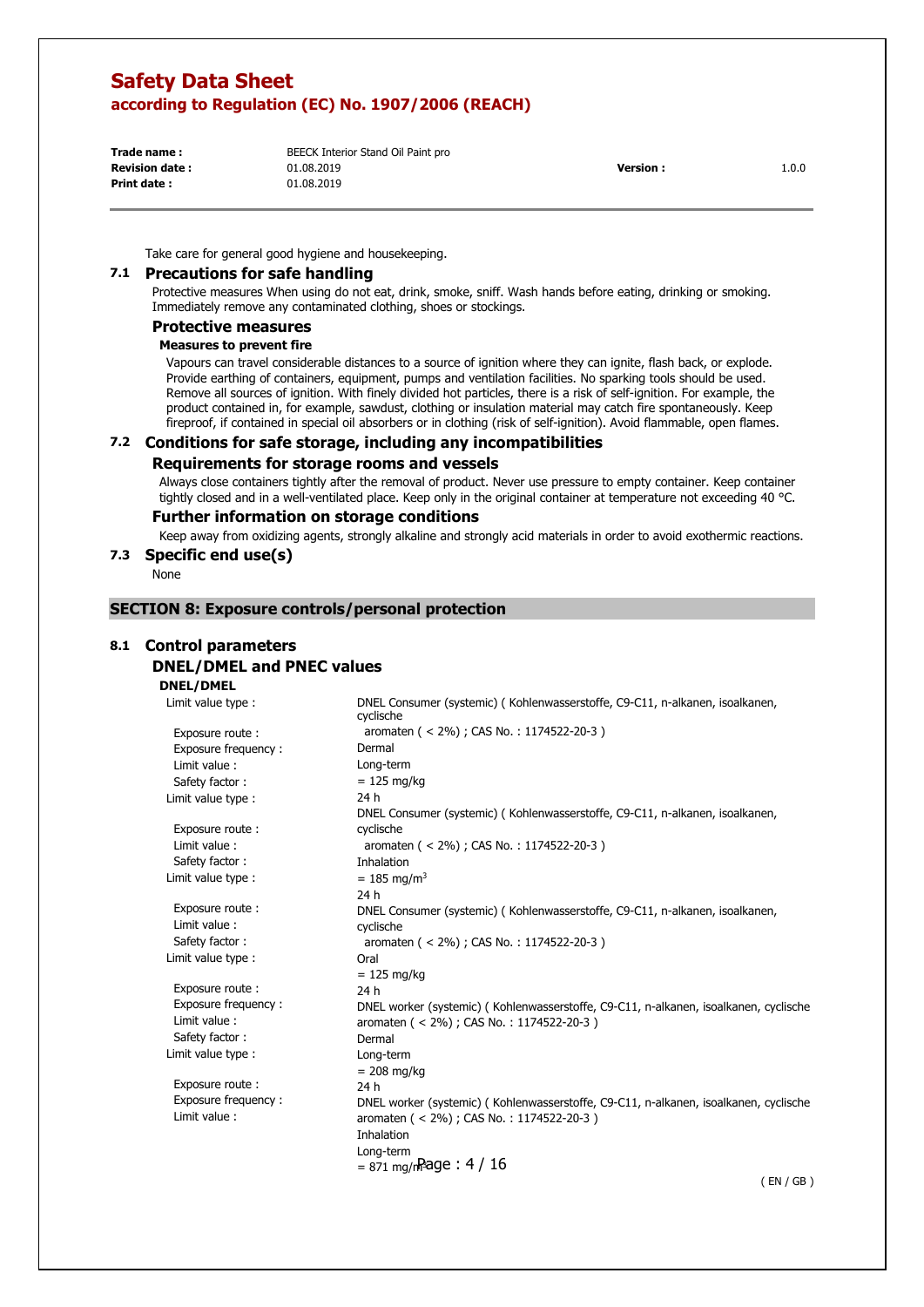**Trade name : Print date :** 

**Revision date : Version :** 1.0.0 BEECK Interior Stand Oil Paint pro 01.08.2019 01.08.2019

Take care for general good hygiene and housekeeping.

#### **7.1 Precautions for safe handling**

Protective measures When using do not eat, drink, smoke, sniff. Wash hands before eating, drinking or smoking. Immediately remove any contaminated clothing, shoes or stockings.

#### **Protective measures**

#### **Measures to prevent fire**

Vapours can travel considerable distances to a source of ignition where they can ignite, flash back, or explode. Provide earthing of containers, equipment, pumps and ventilation facilities. No sparking tools should be used. Remove all sources of ignition. With finely divided hot particles, there is a risk of self-ignition. For example, the product contained in, for example, sawdust, clothing or insulation material may catch fire spontaneously. Keep fireproof, if contained in special oil absorbers or in clothing (risk of self-ignition). Avoid flammable, open flames.

#### **7.2 Conditions for safe storage, including any incompatibilities**

#### **Requirements for storage rooms and vessels**

Always close containers tightly after the removal of product. Never use pressure to empty container. Keep container tightly closed and in a well-ventilated place. Keep only in the original container at temperature not exceeding 40 °C.

#### **Further information on storage conditions**

Keep away from oxidizing agents, strongly alkaline and strongly acid materials in order to avoid exothermic reactions.

#### **7.3 Specific end use(s)**

None

#### **SECTION 8: Exposure controls/personal protection**

## **8.1 Control parameters**

## **DNEL/DMEL and PNEC values**

### **DNEL/DMEL**

 $= 871 \text{ mg/m}$ Page : 4 / 16 Limit value type : Exposure route : Exposure frequency: Limit value : Safety factor : Limit value type : Exposure route : Limit value : Safety factor : Limit value type : Exposure route : Limit value : Safety factor : Limit value type : Exposure route : Exposure frequency : Limit value : Safety factor : Limit value type : Exposure route : Exposure frequency : Limit value : DNEL Consumer (systemic) ( Kohlenwasserstoffe, C9-C11, n-alkanen, isoalkanen, cyclische aromaten ( < 2%) ; CAS No. : 1174522-20-3 ) Dermal Long-term  $= 125$  mg/kg 24 h DNEL Consumer (systemic) ( Kohlenwasserstoffe, C9-C11, n-alkanen, isoalkanen, cyclische aromaten ( < 2%) ; CAS No. : 1174522-20-3 ) Inhalation  $= 185$  mg/m<sup>3</sup> 24 h DNEL Consumer (systemic) ( Kohlenwasserstoffe, C9-C11, n-alkanen, isoalkanen, cyclische aromaten ( < 2%) ; CAS No. : 1174522-20-3 ) Oral  $= 125$  mg/kg 24 h DNEL worker (systemic) ( Kohlenwasserstoffe, C9-C11, n-alkanen, isoalkanen, cyclische aromaten ( < 2%) ; CAS No. : 1174522-20-3 ) Dermal Long-term  $= 208$  mg/kg 24 h DNEL worker (systemic) ( Kohlenwasserstoffe, C9-C11, n-alkanen, isoalkanen, cyclische aromaten ( < 2%) ; CAS No. : 1174522-20-3 ) Inhalation Long-term

( EN / GB )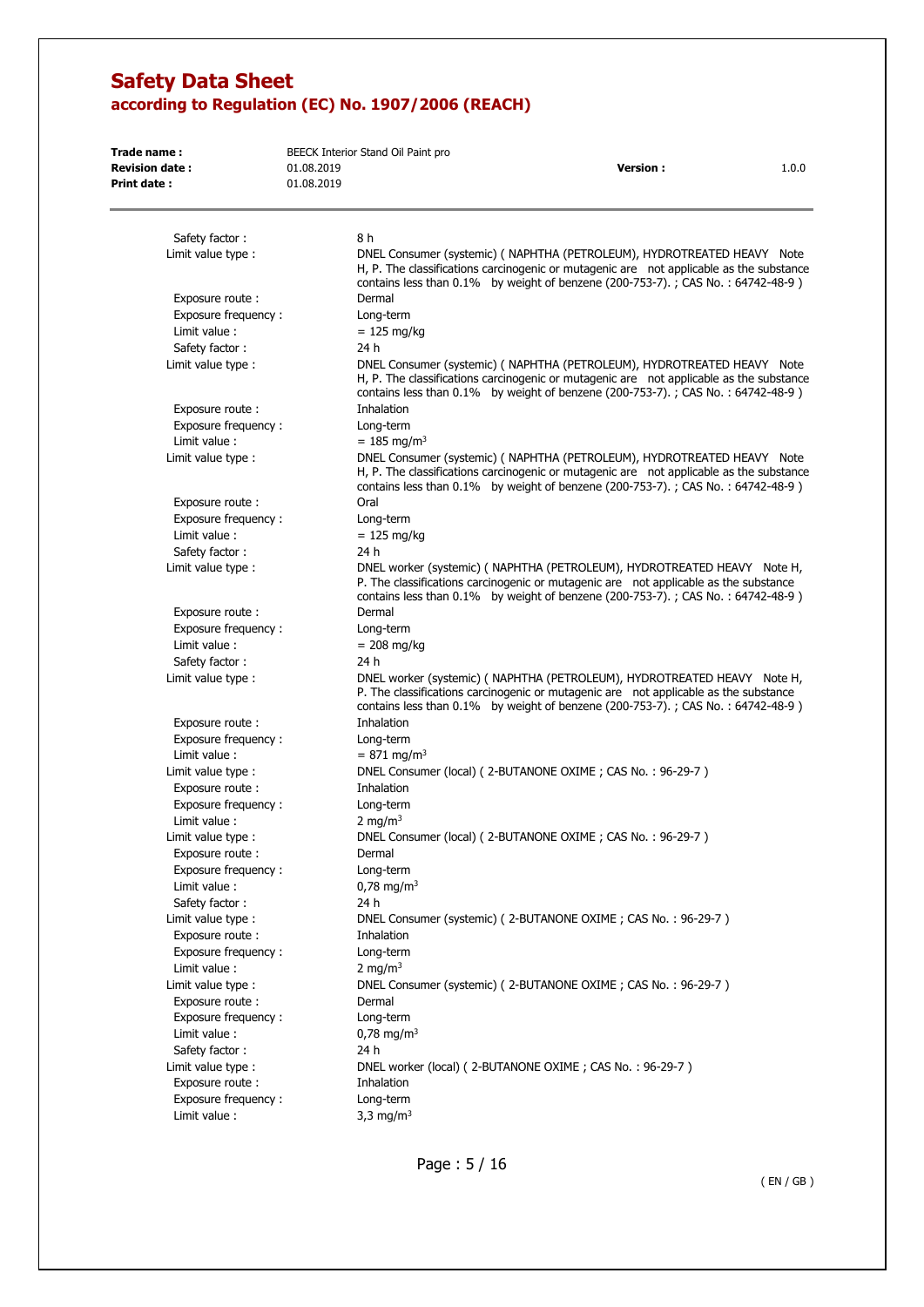| Trade name:                            |            | BEECK Interior Stand Oil Paint pro                                                                                                                                                                                                                       |
|----------------------------------------|------------|----------------------------------------------------------------------------------------------------------------------------------------------------------------------------------------------------------------------------------------------------------|
| <b>Revision date:</b>                  | 01.08.2019 | <b>Version:</b><br>1.0.0                                                                                                                                                                                                                                 |
| Print date:                            | 01.08.2019 |                                                                                                                                                                                                                                                          |
| Safety factor:                         |            | 8 h                                                                                                                                                                                                                                                      |
| Limit value type :                     |            | DNEL Consumer (systemic) ( NAPHTHA (PETROLEUM), HYDROTREATED HEAVY Note<br>H, P. The classifications carcinogenic or mutagenic are not applicable as the substance<br>contains less than $0.1\%$ by weight of benzene (200-753-7).; CAS No.: 64742-48-9) |
| Exposure route:                        |            | Dermal                                                                                                                                                                                                                                                   |
| Exposure frequency:                    |            | Long-term                                                                                                                                                                                                                                                |
| Limit value:<br>Safety factor:         |            | $= 125$ mg/kg<br>24 h                                                                                                                                                                                                                                    |
| Limit value type :                     |            | DNEL Consumer (systemic) (NAPHTHA (PETROLEUM), HYDROTREATED HEAVY Note<br>H, P. The classifications carcinogenic or mutagenic are not applicable as the substance<br>contains less than 0.1% by weight of benzene (200-753-7).; CAS No.: 64742-48-9)     |
| Exposure route:                        |            | Inhalation                                                                                                                                                                                                                                               |
| Exposure frequency:                    |            | Long-term                                                                                                                                                                                                                                                |
| Limit value:                           |            | $= 185$ mg/m <sup>3</sup>                                                                                                                                                                                                                                |
| Limit value type :                     |            | DNEL Consumer (systemic) (NAPHTHA (PETROLEUM), HYDROTREATED HEAVY Note<br>H, P. The classifications carcinogenic or mutagenic are not applicable as the substance<br>contains less than 0.1% by weight of benzene (200-753-7).; CAS No.: 64742-48-9)     |
| Exposure route:                        |            | Oral                                                                                                                                                                                                                                                     |
| Exposure frequency:                    |            | Long-term                                                                                                                                                                                                                                                |
| Limit value:<br>Safety factor:         |            | $= 125$ mg/kg<br>24 h                                                                                                                                                                                                                                    |
| Limit value type :                     |            | DNEL worker (systemic) (NAPHTHA (PETROLEUM), HYDROTREATED HEAVY Note H,<br>P. The classifications carcinogenic or mutagenic are not applicable as the substance<br>contains less than $0.1\%$ by weight of benzene (200-753-7).; CAS No.: 64742-48-9)    |
| Exposure route:                        |            | Dermal                                                                                                                                                                                                                                                   |
| Exposure frequency:                    |            | Long-term                                                                                                                                                                                                                                                |
| Limit value:                           |            | $= 208$ mg/kg                                                                                                                                                                                                                                            |
| Safety factor:                         |            | 24 h                                                                                                                                                                                                                                                     |
| Limit value type :                     |            | DNEL worker (systemic) (NAPHTHA (PETROLEUM), HYDROTREATED HEAVY Note H,<br>P. The classifications carcinogenic or mutagenic are not applicable as the substance<br>contains less than 0.1% by weight of benzene (200-753-7).; CAS No.: 64742-48-9)       |
| Exposure route:                        |            | Inhalation                                                                                                                                                                                                                                               |
| Exposure frequency:                    |            | Long-term                                                                                                                                                                                                                                                |
| Limit value:<br>Limit value type :     |            | $= 871$ mg/m <sup>3</sup><br>DNEL Consumer (local) (2-BUTANONE OXIME; CAS No.: 96-29-7)                                                                                                                                                                  |
| Exposure route :                       |            | Inhalation                                                                                                                                                                                                                                               |
| Exposure frequency:                    |            | Long-term                                                                                                                                                                                                                                                |
| Limit value:                           |            | 2 mg/m <sup>3</sup>                                                                                                                                                                                                                                      |
| Limit value type :                     |            | DNEL Consumer (local) (2-BUTANONE OXIME; CAS No.: 96-29-7)                                                                                                                                                                                               |
| Exposure route :                       |            | Dermal                                                                                                                                                                                                                                                   |
| Exposure frequency:                    |            | Long-term                                                                                                                                                                                                                                                |
| Limit value :<br>Safety factor:        |            | $0.78 \text{ mg/m}^3$<br>24 h                                                                                                                                                                                                                            |
| Limit value type :                     |            | DNEL Consumer (systemic) (2-BUTANONE OXIME; CAS No.: 96-29-7)                                                                                                                                                                                            |
| Exposure route :                       |            | Inhalation                                                                                                                                                                                                                                               |
| Exposure frequency:                    |            | Long-term                                                                                                                                                                                                                                                |
| Limit value :                          |            | 2 mg/m <sup>3</sup>                                                                                                                                                                                                                                      |
| Limit value type :                     |            | DNEL Consumer (systemic) (2-BUTANONE OXIME; CAS No.: 96-29-7)                                                                                                                                                                                            |
| Exposure route :                       |            | Dermal                                                                                                                                                                                                                                                   |
| Exposure frequency:                    |            | Long-term                                                                                                                                                                                                                                                |
| Limit value :                          |            | $0,78 \text{ mg/m}^3$                                                                                                                                                                                                                                    |
| Safety factor:                         |            | 24 h                                                                                                                                                                                                                                                     |
| Limit value type :<br>Exposure route : |            | DNEL worker (local) (2-BUTANONE OXIME; CAS No.: 96-29-7)                                                                                                                                                                                                 |
| Exposure frequency:                    |            | Inhalation<br>Long-term                                                                                                                                                                                                                                  |
| Limit value :                          |            | 3,3 mg/m <sup>3</sup>                                                                                                                                                                                                                                    |
|                                        |            |                                                                                                                                                                                                                                                          |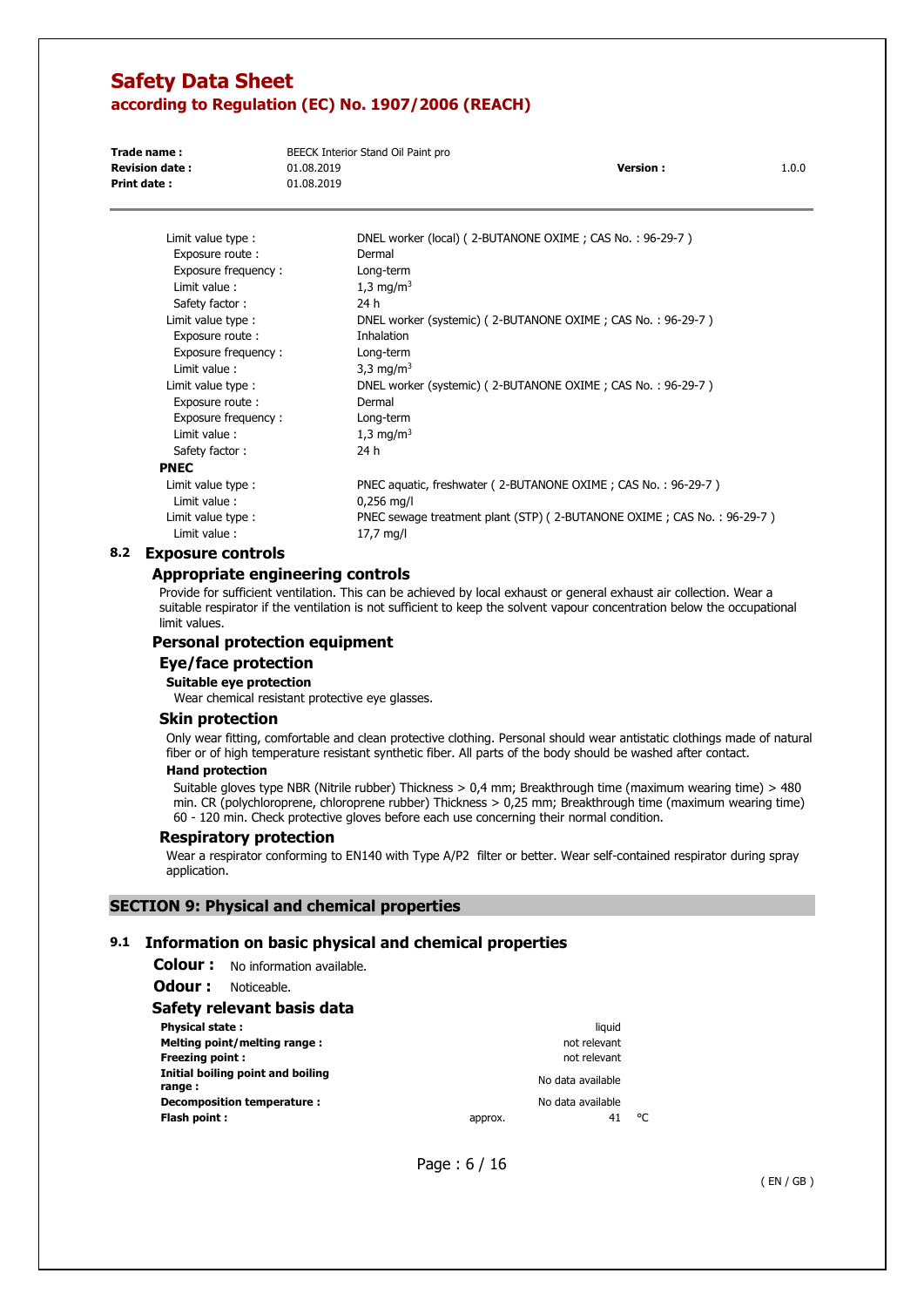| Trade name:           | BEECK Interior Stand Oil Paint pro |                 |       |
|-----------------------|------------------------------------|-----------------|-------|
| <b>Revision date:</b> | 01.08.2019                         | <b>Version:</b> | 1.0.0 |
| Print date:           | 01.08.2019                         |                 |       |
|                       |                                    |                 |       |

| Limit value type :  | DNEL worker (local) (2-BUTANONE OXIME; CAS No.: 96-29-7)               |
|---------------------|------------------------------------------------------------------------|
| Exposure route :    | Dermal                                                                 |
| Exposure frequency: | Long-term                                                              |
| Limit value:        | 1,3 mg/m <sup>3</sup>                                                  |
| Safety factor:      | 24 h                                                                   |
| Limit value type:   | DNEL worker (systemic) (2-BUTANONE OXIME; CAS No.: 96-29-7)            |
| Exposure route:     | <b>Inhalation</b>                                                      |
| Exposure frequency: | Long-term                                                              |
| Limit value:        | 3,3 mg/m <sup>3</sup>                                                  |
| Limit value type :  | DNEL worker (systemic) (2-BUTANONE OXIME; CAS No.: 96-29-7)            |
| Exposure route:     | Dermal                                                                 |
| Exposure frequency: | Long-term                                                              |
| Limit value:        | 1,3 mg/m <sup>3</sup>                                                  |
| Safety factor:      | 24 h                                                                   |
| PNEC                |                                                                        |
| Limit value type:   | PNEC aquatic, freshwater (2-BUTANONE OXIME; CAS No.: 96-29-7)          |
| Limit value:        | $0,256$ mg/l                                                           |
| Limit value type:   | PNEC sewage treatment plant (STP) (2-BUTANONE OXIME; CAS No.: 96-29-7) |
| Limit value:        | 17,7 mg/l                                                              |
|                     |                                                                        |

#### **8.2 Exposure controls**

#### **Appropriate engineering controls**

Provide for sufficient ventilation. This can be achieved by local exhaust or general exhaust air collection. Wear a suitable respirator if the ventilation is not sufficient to keep the solvent vapour concentration below the occupational limit values.

#### **Personal protection equipment**

### **Eye/face protection**

**Suitable eye protection** 

Wear chemical resistant protective eye glasses.

#### **Skin protection**

Only wear fitting, comfortable and clean protective clothing. Personal should wear antistatic clothings made of natural fiber or of high temperature resistant synthetic fiber. All parts of the body should be washed after contact.

#### **Hand protection**

Suitable gloves type NBR (Nitrile rubber) Thickness > 0,4 mm; Breakthrough time (maximum wearing time) > 480 min. CR (polychloroprene, chloroprene rubber) Thickness > 0,25 mm; Breakthrough time (maximum wearing time) 60 - 120 min. Check protective gloves before each use concerning their normal condition.

#### **Respiratory protection**

Wear a respirator conforming to EN140 with Type A/P2 filter or better. Wear self-contained respirator during spray application.

#### **SECTION 9: Physical and chemical properties**

### **9.1 Information on basic physical and chemical properties**

**Colour :** No information available.

**Odour :** Noticeable.

#### **Safety relevant basis data**

| <b>Physical state:</b>                      |         | liauid            |    |
|---------------------------------------------|---------|-------------------|----|
| Melting point/melting range:                |         | not relevant      |    |
| <b>Freezing point:</b>                      |         | not relevant      |    |
| Initial boiling point and boiling<br>range: |         | No data available |    |
| Decomposition temperature :                 |         | No data available |    |
| Flash point:                                | approx. | 41                | ۹۲ |

Page : 6 / 16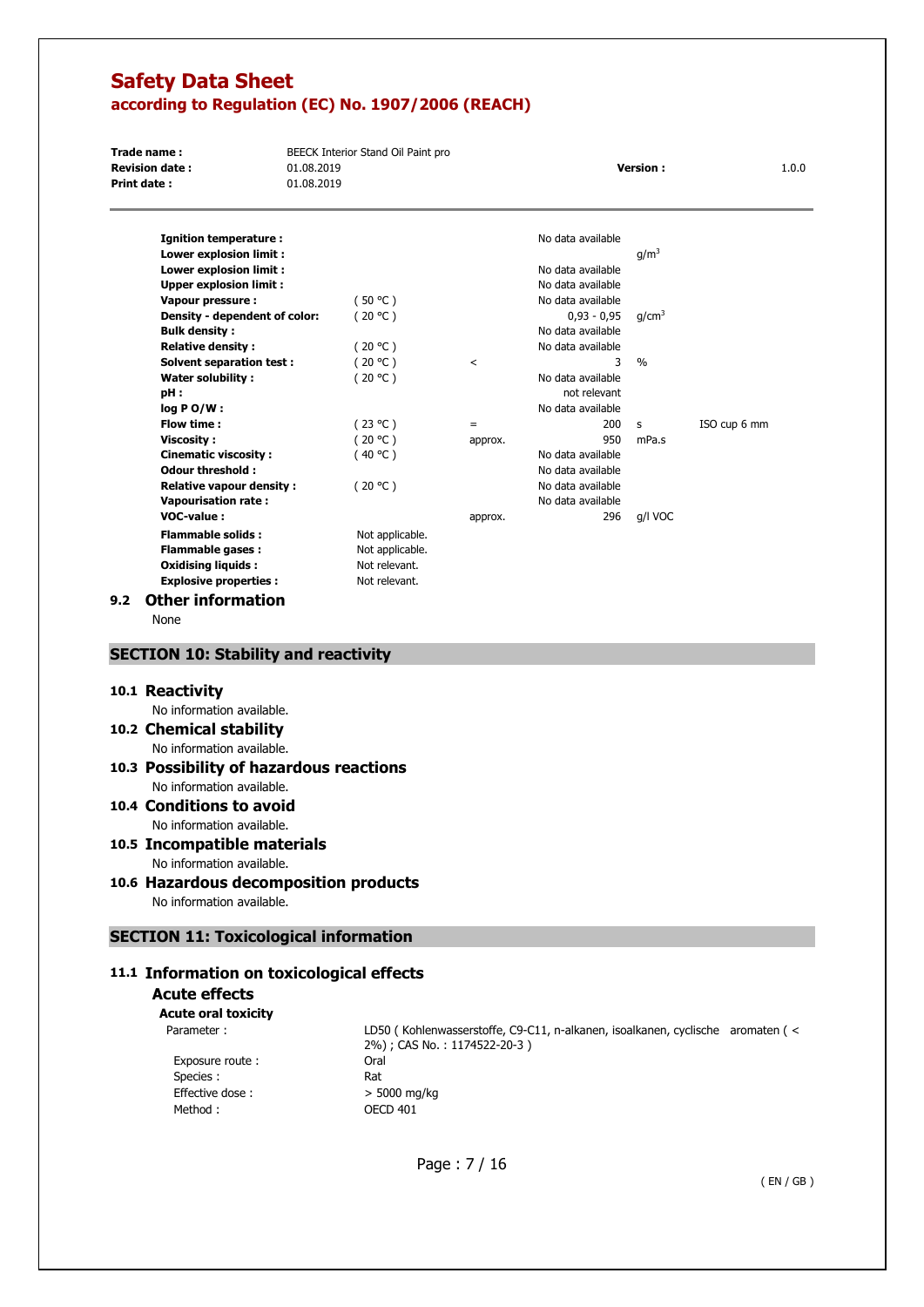| Trade name:           | BEECK Interior Stand Oil Paint pro |                 |       |
|-----------------------|------------------------------------|-----------------|-------|
| <b>Revision date:</b> | 01.08.2019                         | <b>Version:</b> | 1.0.0 |
| <b>Print date:</b>    | 01.08.2019                         |                 |       |
|                       |                                    |                 |       |
|                       |                                    |                 |       |

| Ignition temperature:           |                 |         | No data available |                   |              |
|---------------------------------|-----------------|---------|-------------------|-------------------|--------------|
| Lower explosion limit :         |                 |         |                   | q/m <sup>3</sup>  |              |
| Lower explosion limit :         |                 |         | No data available |                   |              |
| <b>Upper explosion limit:</b>   |                 |         | No data available |                   |              |
| Vapour pressure :               | (50 °C )        |         | No data available |                   |              |
| Density - dependent of color:   | (20 °C )        |         | $0,93 - 0,95$     | q/cm <sup>3</sup> |              |
| <b>Bulk density:</b>            |                 |         | No data available |                   |              |
| <b>Relative density:</b>        | (20 °C)         |         | No data available |                   |              |
| Solvent separation test:        | (20 °C )        | <       | 3                 | $\%$              |              |
| Water solubility:               | (20 °C )        |         | No data available |                   |              |
| pH:                             |                 |         | not relevant      |                   |              |
| log PO/W:                       |                 |         | No data available |                   |              |
| Flow time:                      | (23 °C)         | $=$     | 200               | s                 | ISO cup 6 mm |
| <b>Viscosity :</b>              | (20 °C)         | approx. | 950               | mPa.s             |              |
| <b>Cinematic viscosity:</b>     | (40 °C )        |         | No data available |                   |              |
| <b>Odour threshold:</b>         |                 |         | No data available |                   |              |
| <b>Relative vapour density:</b> | (20 °C )        |         | No data available |                   |              |
| <b>Vapourisation rate:</b>      |                 |         | No data available |                   |              |
| <b>VOC-value:</b>               |                 | approx. | 296               | g/l VOC           |              |
| <b>Flammable solids:</b>        | Not applicable. |         |                   |                   |              |
| <b>Flammable gases:</b>         | Not applicable. |         |                   |                   |              |
| <b>Oxidising liquids:</b>       | Not relevant.   |         |                   |                   |              |

#### **9.2 Other information**

None

### **SECTION 10: Stability and reactivity**

**Explosive properties :** Not relevant.

#### **10.1 Reactivity**

No information available.

**10.2 Chemical stability** 

No information available.

#### **10.3 Possibility of hazardous reactions**  No information available.

# **10.4 Conditions to avoid**

No information available.

#### **10.5 Incompatible materials**  No information available.

## **10.6 Hazardous decomposition products**

No information available.

### **SECTION 11: Toxicological information**

### **11.1 Information on toxicological effects**

## **Acute effects**

**Acute oral toxicity**  Parameter :

> Exposure route : Species : Effective dose :  $> 5000 \text{ mg/kg}$ Method : 0ECD 401

LD50 ( Kohlenwasserstoffe, C9-C11, n-alkanen, isoalkanen, cyclische aromaten ( < 2%) ; CAS No. : 1174522-20-3 ) Oral Rat

Page : 7 / 16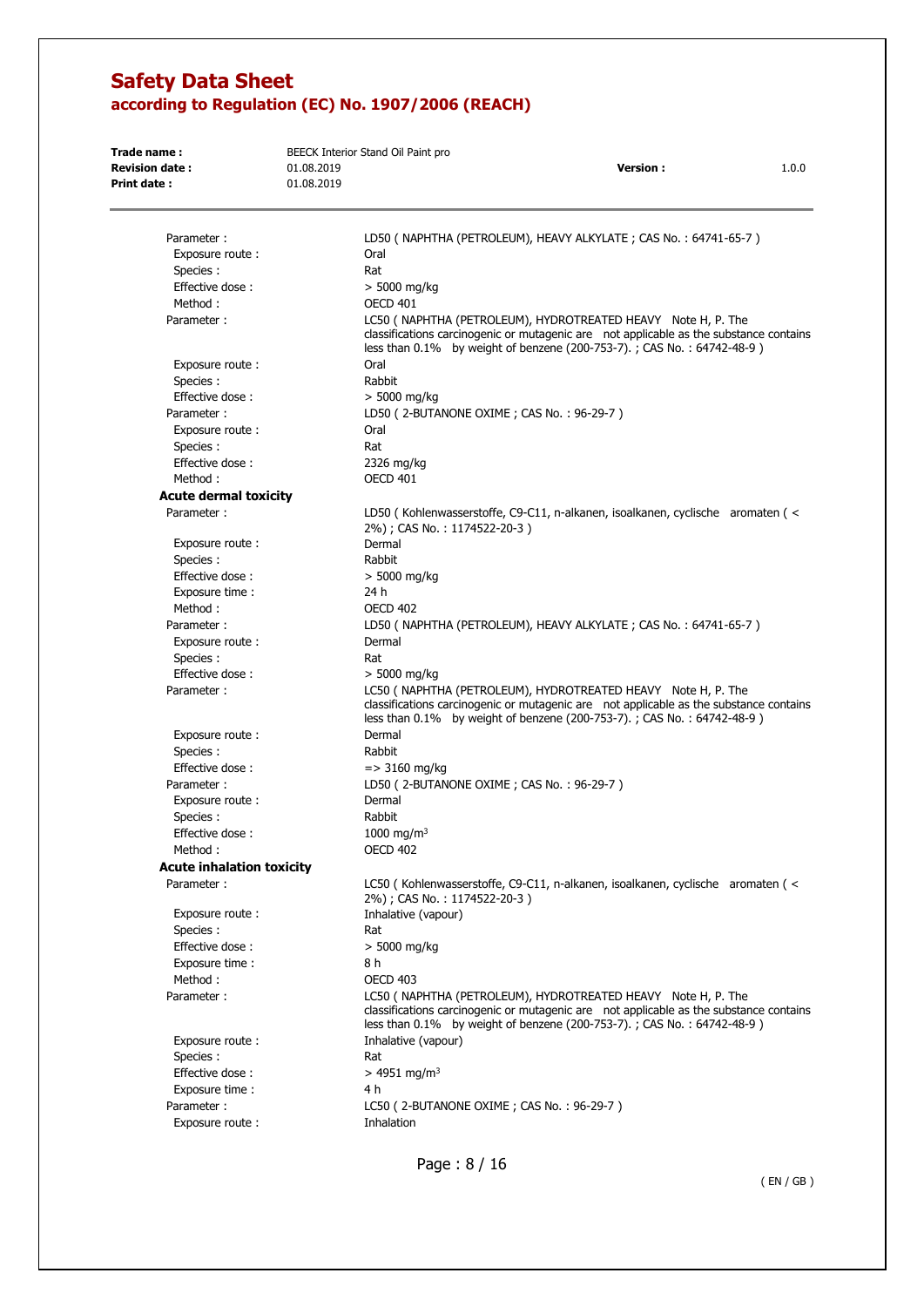| Trade name:<br><b>Revision date:</b><br><b>Print date:</b> | 01.08.2019<br>01.08.2019 | BEECK Interior Stand Oil Paint pro<br><b>Version:</b><br>1.0.0                                                                                                                                                                    |
|------------------------------------------------------------|--------------------------|-----------------------------------------------------------------------------------------------------------------------------------------------------------------------------------------------------------------------------------|
|                                                            |                          |                                                                                                                                                                                                                                   |
| Parameter:                                                 |                          | LD50 ( NAPHTHA (PETROLEUM), HEAVY ALKYLATE; CAS No.: 64741-65-7 )                                                                                                                                                                 |
| Exposure route:                                            |                          | Oral                                                                                                                                                                                                                              |
| Species :                                                  |                          | Rat                                                                                                                                                                                                                               |
| Effective dose:                                            |                          | $> 5000$ mg/kg                                                                                                                                                                                                                    |
| Method:                                                    |                          | <b>OECD 401</b>                                                                                                                                                                                                                   |
| Parameter:                                                 |                          | LC50 ( NAPHTHA (PETROLEUM), HYDROTREATED HEAVY Note H, P. The<br>classifications carcinogenic or mutagenic are not applicable as the substance contains<br>less than 0.1% by weight of benzene (200-753-7).; CAS No.: 64742-48-9) |
| Exposure route:                                            |                          | Oral                                                                                                                                                                                                                              |
| Species :                                                  |                          | Rabbit                                                                                                                                                                                                                            |
| Effective dose:                                            |                          | $> 5000$ mg/kg                                                                                                                                                                                                                    |
| Parameter:                                                 |                          | LD50 (2-BUTANONE OXIME; CAS No.: 96-29-7)                                                                                                                                                                                         |
| Exposure route:                                            |                          | Oral                                                                                                                                                                                                                              |
| Species:                                                   |                          | Rat                                                                                                                                                                                                                               |
| Effective dose:                                            |                          | 2326 mg/kg                                                                                                                                                                                                                        |
| Method:                                                    |                          | <b>OECD 401</b>                                                                                                                                                                                                                   |
| <b>Acute dermal toxicity</b>                               |                          |                                                                                                                                                                                                                                   |
| Parameter:                                                 |                          | LD50 (Kohlenwasserstoffe, C9-C11, n-alkanen, isoalkanen, cyclische aromaten (<                                                                                                                                                    |
|                                                            |                          | 2%); CAS No.: 1174522-20-3)                                                                                                                                                                                                       |
| Exposure route:                                            |                          | Dermal                                                                                                                                                                                                                            |
| Species:                                                   |                          | Rabbit                                                                                                                                                                                                                            |
| Effective dose:                                            |                          | $> 5000$ mg/kg                                                                                                                                                                                                                    |
| Exposure time :                                            |                          | 24 h                                                                                                                                                                                                                              |
| Method:                                                    |                          | OECD 402                                                                                                                                                                                                                          |
| Parameter:                                                 |                          | LD50 ( NAPHTHA (PETROLEUM), HEAVY ALKYLATE ; CAS No. : 64741-65-7 )                                                                                                                                                               |
| Exposure route:                                            |                          | Dermal                                                                                                                                                                                                                            |
| Species :                                                  |                          | Rat                                                                                                                                                                                                                               |
| Effective dose:                                            |                          | $> 5000$ mg/kg                                                                                                                                                                                                                    |
| Parameter:                                                 |                          | LC50 ( NAPHTHA (PETROLEUM), HYDROTREATED HEAVY Note H, P. The<br>classifications carcinogenic or mutagenic are not applicable as the substance contains<br>less than 0.1% by weight of benzene (200-753-7).; CAS No.: 64742-48-9) |
| Exposure route:                                            |                          | Dermal                                                                                                                                                                                                                            |
| Species:                                                   |                          | Rabbit                                                                                                                                                                                                                            |
| Effective dose:                                            |                          | $=$ > 3160 mg/kg                                                                                                                                                                                                                  |
| Parameter:                                                 |                          | LD50 (2-BUTANONE OXIME; CAS No.: 96-29-7)                                                                                                                                                                                         |
| Exposure route:                                            |                          | Dermal                                                                                                                                                                                                                            |
| Species :                                                  |                          | Rabbit                                                                                                                                                                                                                            |
| Effective dose:                                            |                          | 1000 mg/m <sup>3</sup>                                                                                                                                                                                                            |
| Method:                                                    |                          | <b>OECD 402</b>                                                                                                                                                                                                                   |
| <b>Acute inhalation toxicity</b>                           |                          |                                                                                                                                                                                                                                   |
| Parameter:                                                 |                          | LC50 (Kohlenwasserstoffe, C9-C11, n-alkanen, isoalkanen, cyclische aromaten (<                                                                                                                                                    |
|                                                            |                          | 2%); CAS No.: 1174522-20-3)                                                                                                                                                                                                       |
| Exposure route:                                            |                          | Inhalative (vapour)                                                                                                                                                                                                               |
| Species:                                                   |                          | Rat                                                                                                                                                                                                                               |
| Effective dose:                                            |                          | > 5000 mg/kg                                                                                                                                                                                                                      |
| Exposure time :                                            |                          | 8 h                                                                                                                                                                                                                               |
| Method:                                                    |                          | <b>OECD 403</b>                                                                                                                                                                                                                   |
| Parameter:                                                 |                          | LC50 ( NAPHTHA (PETROLEUM), HYDROTREATED HEAVY Note H, P. The<br>classifications carcinogenic or mutagenic are not applicable as the substance contains<br>less than 0.1% by weight of benzene (200-753-7).; CAS No.: 64742-48-9) |
| Exposure route:                                            |                          | Inhalative (vapour)                                                                                                                                                                                                               |
| Species:                                                   |                          | Rat                                                                                                                                                                                                                               |
| Effective dose:                                            |                          | $> 4951$ mg/m <sup>3</sup>                                                                                                                                                                                                        |
| Exposure time :                                            |                          | 4 h                                                                                                                                                                                                                               |
| Parameter:                                                 |                          | LC50 (2-BUTANONE OXIME; CAS No.: 96-29-7)                                                                                                                                                                                         |
| Exposure route:                                            |                          | Inhalation                                                                                                                                                                                                                        |
|                                                            |                          |                                                                                                                                                                                                                                   |

Page : 8 / 16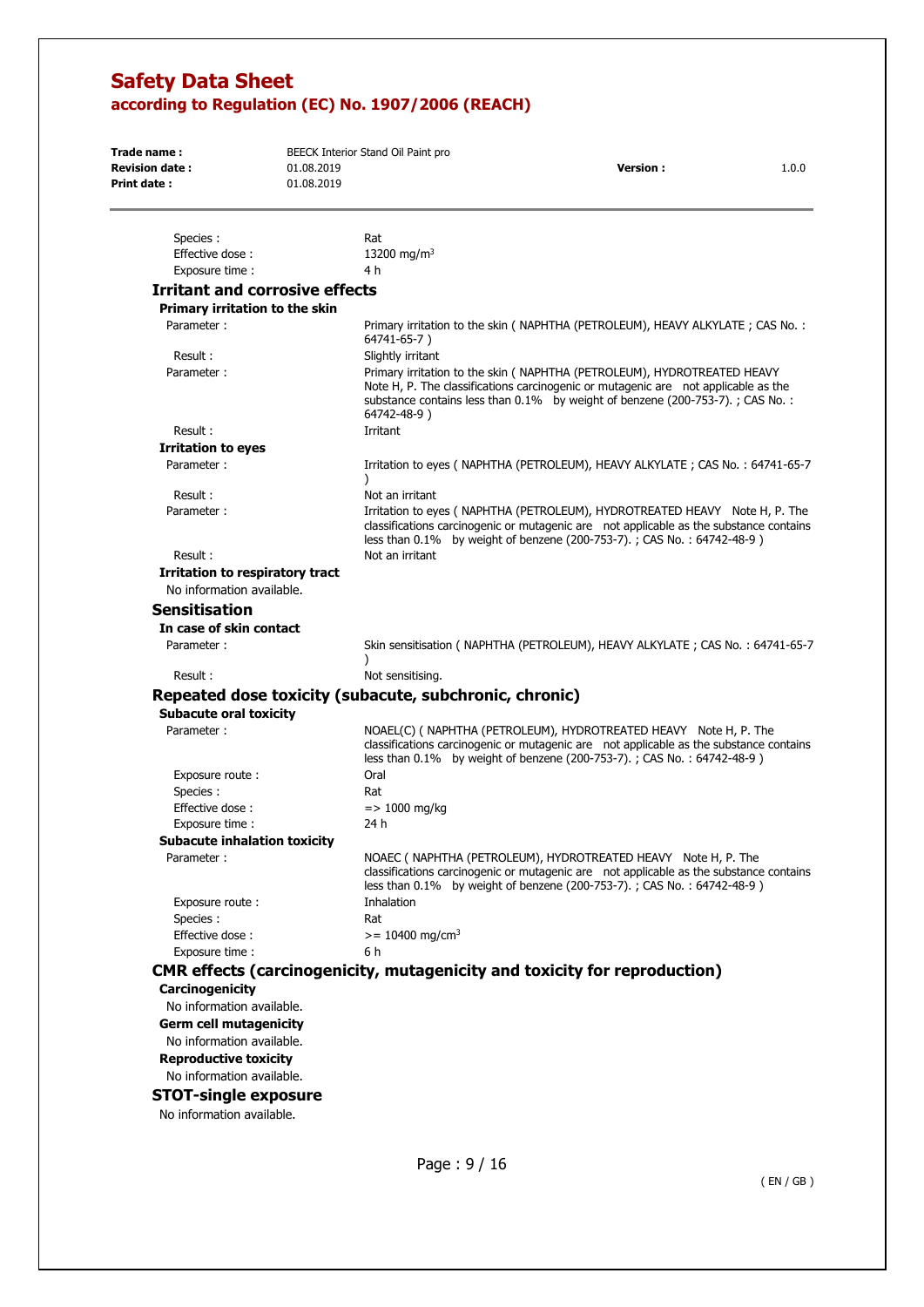| Trade name:<br><b>Revision date:</b><br>Print date:      | 01.08.2019<br>01.08.2019 | BEECK Interior Stand Oil Paint pro<br><b>Version:</b><br>1.0.0                                                                                                                                                                                                    |
|----------------------------------------------------------|--------------------------|-------------------------------------------------------------------------------------------------------------------------------------------------------------------------------------------------------------------------------------------------------------------|
| Species :                                                |                          | Rat                                                                                                                                                                                                                                                               |
| Effective dose:                                          |                          | 13200 mg/m <sup>3</sup>                                                                                                                                                                                                                                           |
| Exposure time:                                           |                          | 4 h                                                                                                                                                                                                                                                               |
| <b>Irritant and corrosive effects</b>                    |                          |                                                                                                                                                                                                                                                                   |
| Primary irritation to the skin                           |                          |                                                                                                                                                                                                                                                                   |
| Parameter:                                               |                          | Primary irritation to the skin (NAPHTHA (PETROLEUM), HEAVY ALKYLATE; CAS No.:<br>64741-65-7)                                                                                                                                                                      |
| Result:                                                  |                          | Slightly irritant                                                                                                                                                                                                                                                 |
| Parameter:                                               |                          | Primary irritation to the skin ( NAPHTHA (PETROLEUM), HYDROTREATED HEAVY<br>Note H, P. The classifications carcinogenic or mutagenic are not applicable as the<br>substance contains less than 0.1% by weight of benzene (200-753-7).; CAS No.:<br>64742-48-9)    |
| Result:                                                  |                          | Irritant                                                                                                                                                                                                                                                          |
| <b>Irritation to eyes</b>                                |                          |                                                                                                                                                                                                                                                                   |
| Parameter:                                               |                          | Irritation to eyes (NAPHTHA (PETROLEUM), HEAVY ALKYLATE; CAS No.: 64741-65-7<br>$\lambda$                                                                                                                                                                         |
| Result:<br>Parameter:                                    |                          | Not an irritant<br>Irritation to eyes (NAPHTHA (PETROLEUM), HYDROTREATED HEAVY Note H, P. The<br>classifications carcinogenic or mutagenic are not applicable as the substance contains<br>less than 0.1% by weight of benzene (200-753-7).; CAS No.: 64742-48-9) |
| Result:                                                  |                          | Not an irritant                                                                                                                                                                                                                                                   |
| <b>Irritation to respiratory tract</b>                   |                          |                                                                                                                                                                                                                                                                   |
| No information available.                                |                          |                                                                                                                                                                                                                                                                   |
| <b>Sensitisation</b>                                     |                          |                                                                                                                                                                                                                                                                   |
|                                                          |                          |                                                                                                                                                                                                                                                                   |
| In case of skin contact<br>Parameter:                    |                          | Skin sensitisation (NAPHTHA (PETROLEUM), HEAVY ALKYLATE; CAS No.: 64741-65-7                                                                                                                                                                                      |
| Result:                                                  |                          | Not sensitising.                                                                                                                                                                                                                                                  |
|                                                          |                          | Repeated dose toxicity (subacute, subchronic, chronic)                                                                                                                                                                                                            |
| <b>Subacute oral toxicity</b>                            |                          |                                                                                                                                                                                                                                                                   |
| Parameter:                                               |                          | NOAEL(C) ( NAPHTHA (PETROLEUM), HYDROTREATED HEAVY Note H, P. The<br>classifications carcinogenic or mutagenic are not applicable as the substance contains<br>less than 0.1% by weight of benzene (200-753-7).; CAS No.: 64742-48-9)                             |
| Exposure route:<br>Species:                              |                          | Oral<br>Rat                                                                                                                                                                                                                                                       |
| Effective dose:                                          |                          | $=$ > 1000 mg/kg                                                                                                                                                                                                                                                  |
| Exposure time:                                           |                          | 24 h                                                                                                                                                                                                                                                              |
| <b>Subacute inhalation toxicity</b>                      |                          |                                                                                                                                                                                                                                                                   |
| Parameter:                                               |                          | NOAEC ( NAPHTHA (PETROLEUM), HYDROTREATED HEAVY Note H, P. The<br>classifications carcinogenic or mutagenic are not applicable as the substance contains<br>less than 0.1% by weight of benzene (200-753-7).; CAS No.: 64742-48-9)                                |
| Exposure route:                                          |                          | Inhalation                                                                                                                                                                                                                                                        |
| Species:                                                 |                          | Rat                                                                                                                                                                                                                                                               |
| Effective dose:                                          |                          | $>= 10400$ mg/cm <sup>3</sup>                                                                                                                                                                                                                                     |
| Exposure time:                                           |                          | 6 h                                                                                                                                                                                                                                                               |
|                                                          |                          | <b>CMR effects (carcinogenicity, mutagenicity and toxicity for reproduction)</b>                                                                                                                                                                                  |
| Carcinogenicity<br>No information available.             |                          |                                                                                                                                                                                                                                                                   |
| <b>Germ cell mutagenicity</b>                            |                          |                                                                                                                                                                                                                                                                   |
| No information available.                                |                          |                                                                                                                                                                                                                                                                   |
| <b>Reproductive toxicity</b>                             |                          |                                                                                                                                                                                                                                                                   |
| No information available.<br><b>CTOT-cinalo ovnocuro</b> |                          |                                                                                                                                                                                                                                                                   |
|                                                          |                          |                                                                                                                                                                                                                                                                   |

## **STOT-single exposure**

No information available.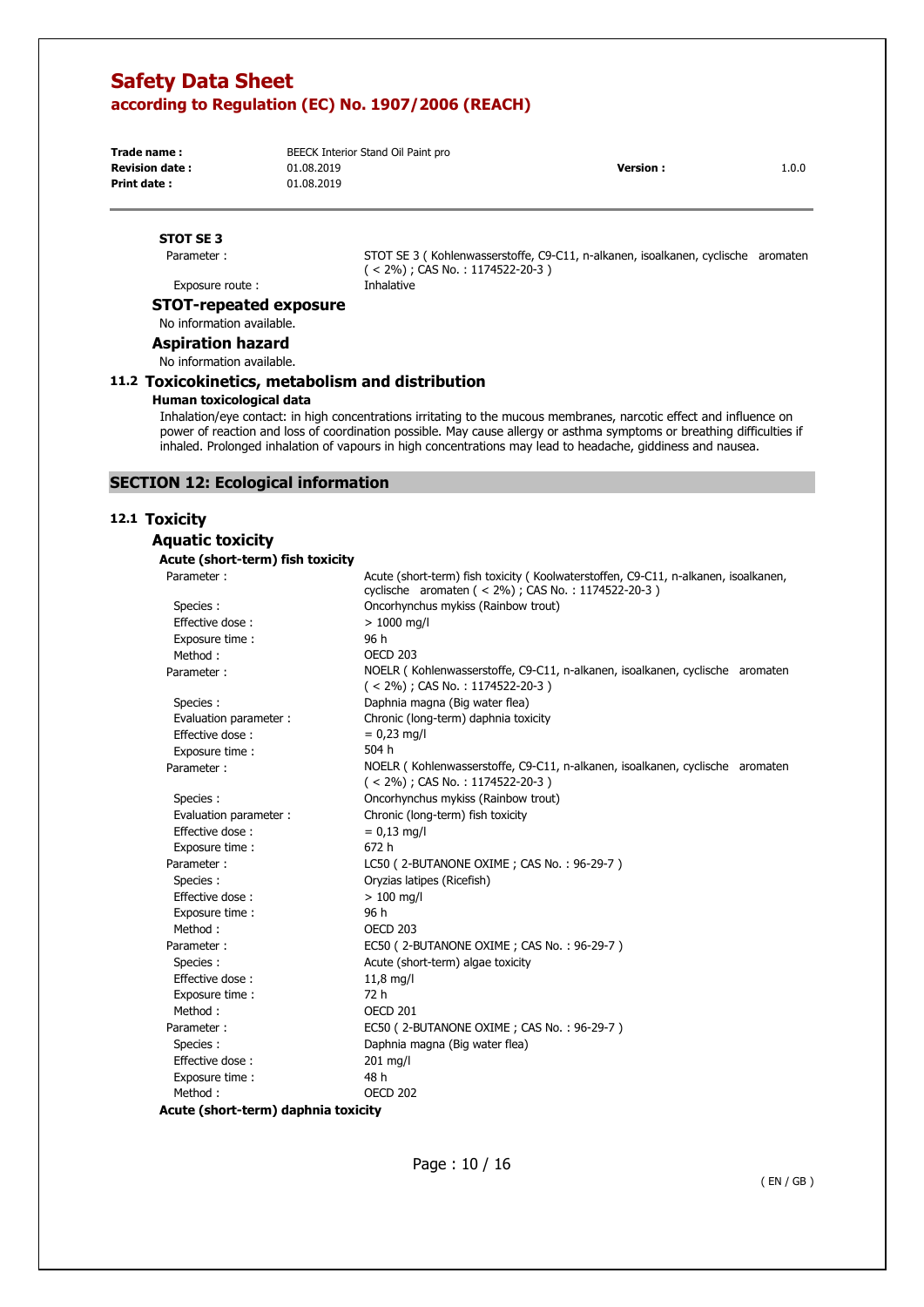**Trade name : Print date :** 

**Revision date :**  $01.08.2019$  **1.0.0 Version :**  $10.0$  **1.0.0** BEECK Interior Stand Oil Paint pro 01.08.2019 01.08.2019

## **STOT SE 3**

Parameter :

STOT SE 3 ( Kohlenwasserstoffe, C9-C11, n-alkanen, isoalkanen, cyclische aromaten ( < 2%) ; CAS No. : 1174522-20-3 ) Inhalative

Exposure route :

## **STOT-repeated exposure**

No information available.

**Aspiration hazard** 

No information available.

#### **11.2 Toxicokinetics, metabolism and distribution**

#### **Human toxicological data**

Inhalation/eye contact: in high concentrations irritating to the mucous membranes, narcotic effect and influence on power of reaction and loss of coordination possible. May cause allergy or asthma symptoms or breathing difficulties if inhaled. Prolonged inhalation of vapours in high concentrations may lead to headache, giddiness and nausea.

## **SECTION 12: Ecological information**

### **12.1 Toxicity**

**Aquatic toxicity** 

#### **Acute (short-term) fish toxicity**

| Parameter:             | Acute (short-term) fish toxicity (Koolwaterstoffen, C9-C11, n-alkanen, isoalkanen,<br>cyclische aromaten (< 2%) ; CAS No. : 1174522-20-3) |
|------------------------|-------------------------------------------------------------------------------------------------------------------------------------------|
| Species :              | Oncorhynchus mykiss (Rainbow trout)                                                                                                       |
| Effective dose:        | $> 1000$ mg/l                                                                                                                             |
| Exposure time:         | 96 h                                                                                                                                      |
| Method:                | <b>OECD 203</b>                                                                                                                           |
| Parameter:             | NOELR (Kohlenwasserstoffe, C9-C11, n-alkanen, isoalkanen, cyclische aromaten<br>$(< 2\%)$ ; CAS No.: 1174522-20-3)                        |
| Species :              | Daphnia magna (Big water flea)                                                                                                            |
| Evaluation parameter : | Chronic (long-term) daphnia toxicity                                                                                                      |
| Effective dose:        | $= 0,23$ mg/l                                                                                                                             |
| Exposure time:         | 504 h                                                                                                                                     |
| Parameter:             | NOELR (Kohlenwasserstoffe, C9-C11, n-alkanen, isoalkanen, cyclische aromaten<br>$(< 2\%)$ ; CAS No.: 1174522-20-3)                        |
| Species :              | Oncorhynchus mykiss (Rainbow trout)                                                                                                       |
| Evaluation parameter : | Chronic (long-term) fish toxicity                                                                                                         |
| Effective dose:        | $= 0.13$ mg/l                                                                                                                             |
| Exposure time:         | 672 h                                                                                                                                     |
| Parameter:             | LC50 (2-BUTANONE OXIME; CAS No.: 96-29-7)                                                                                                 |
| Species:               | Oryzias latipes (Ricefish)                                                                                                                |
| Effective dose:        | $>100$ mg/l                                                                                                                               |
| Exposure time:         | 96 h                                                                                                                                      |
| Method:                | <b>OECD 203</b>                                                                                                                           |
| Parameter:             | EC50 (2-BUTANONE OXIME; CAS No.: 96-29-7)                                                                                                 |
| Species :              | Acute (short-term) algae toxicity                                                                                                         |
| Effective dose:        | 11,8 mg/l                                                                                                                                 |
| Exposure time:         | 72 h                                                                                                                                      |
| Method:                | OECD 201                                                                                                                                  |
| Parameter:             | EC50 (2-BUTANONE OXIME; CAS No.: 96-29-7)                                                                                                 |
| Species :              | Daphnia magna (Big water flea)                                                                                                            |
| Effective dose:        | 201 mg/l                                                                                                                                  |
| Exposure time:         | 48 h                                                                                                                                      |
| Method:                | <b>OECD 202</b>                                                                                                                           |
|                        | .                                                                                                                                         |

**Acute (short-term) daphnia toxicity** 

Page : 10 / 16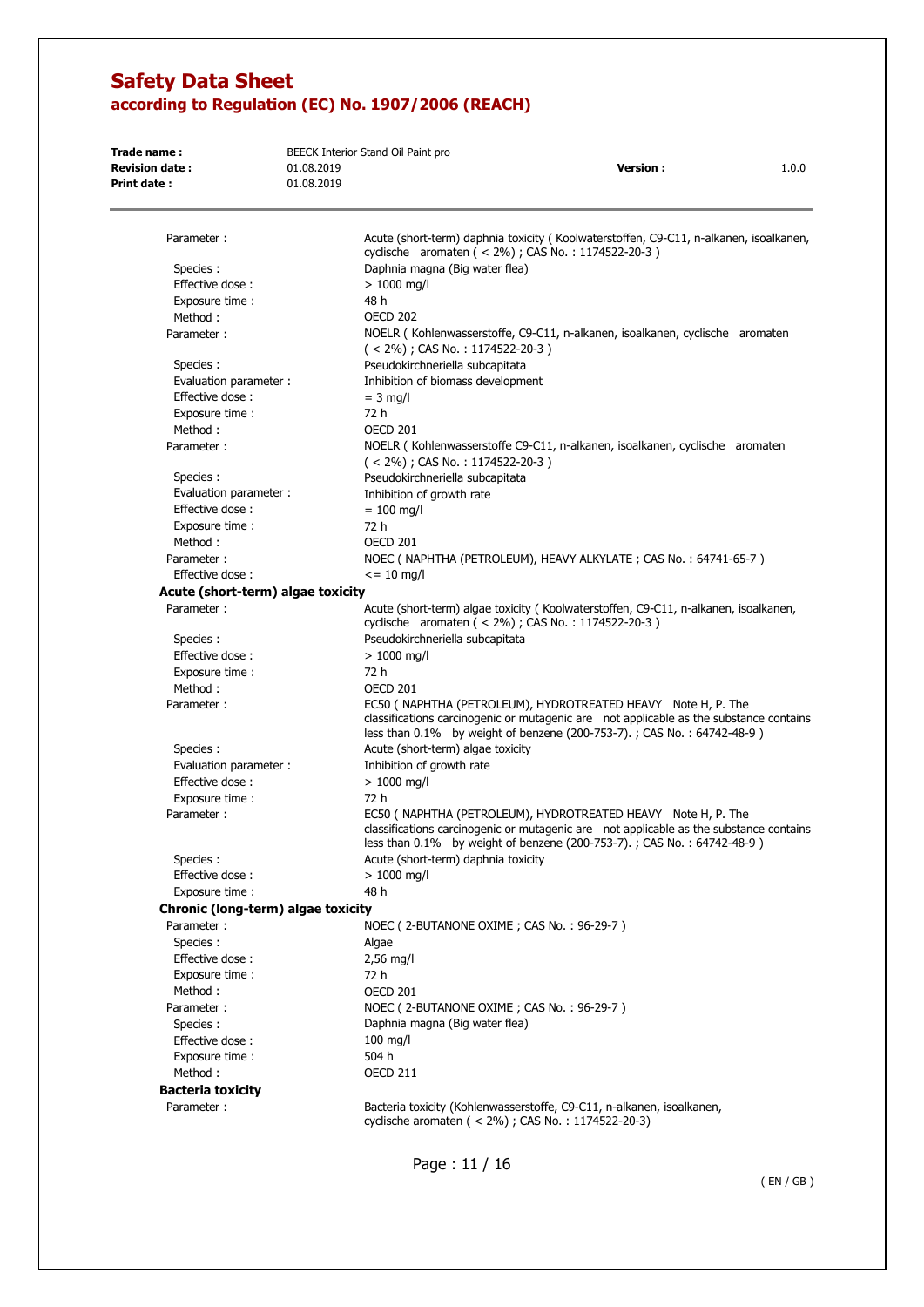| Trade name:<br><b>Revision date:</b><br>Print date: | 01.08.2019<br>01.08.2019 | BEECK Interior Stand Oil Paint pro<br><b>Version:</b><br>1.0.0                                                                                                                                                                       |
|-----------------------------------------------------|--------------------------|--------------------------------------------------------------------------------------------------------------------------------------------------------------------------------------------------------------------------------------|
|                                                     |                          |                                                                                                                                                                                                                                      |
| Parameter:                                          |                          | Acute (short-term) daphnia toxicity (Koolwaterstoffen, C9-C11, n-alkanen, isoalkanen,<br>cyclische aromaten (< 2%); CAS No.: 1174522-20-3)                                                                                           |
| Species :                                           |                          | Daphnia magna (Big water flea)                                                                                                                                                                                                       |
| Effective dose:                                     |                          | $>1000$ mg/l                                                                                                                                                                                                                         |
| Exposure time :                                     |                          | 48 h                                                                                                                                                                                                                                 |
| Method:                                             |                          | <b>OECD 202</b>                                                                                                                                                                                                                      |
| Parameter:                                          |                          | NOELR (Kohlenwasserstoffe, C9-C11, n-alkanen, isoalkanen, cyclische aromaten<br>$($ < 2%); CAS No.: 1174522-20-3)                                                                                                                    |
| Species :                                           |                          | Pseudokirchneriella subcapitata                                                                                                                                                                                                      |
| Evaluation parameter:                               |                          | Inhibition of biomass development                                                                                                                                                                                                    |
| Effective dose:                                     |                          | $=$ 3 mg/l                                                                                                                                                                                                                           |
| Exposure time :                                     |                          | 72 h                                                                                                                                                                                                                                 |
| Method:                                             |                          | OECD 201                                                                                                                                                                                                                             |
| Parameter:                                          |                          | NOELR (Kohlenwasserstoffe C9-C11, n-alkanen, isoalkanen, cyclische aromaten<br>$(< 2\%)$ ; CAS No.: 1174522-20-3)                                                                                                                    |
| Species :                                           |                          | Pseudokirchneriella subcapitata                                                                                                                                                                                                      |
| Evaluation parameter:                               |                          | Inhibition of growth rate                                                                                                                                                                                                            |
| Effective dose:                                     |                          | $= 100$ mg/l                                                                                                                                                                                                                         |
| Exposure time :                                     |                          | 72 h                                                                                                                                                                                                                                 |
| Method:                                             |                          | OECD 201                                                                                                                                                                                                                             |
| Parameter:                                          |                          | NOEC ( NAPHTHA (PETROLEUM), HEAVY ALKYLATE; CAS No.: 64741-65-7)                                                                                                                                                                     |
| Effective dose:                                     |                          | $\epsilon$ = 10 mg/l                                                                                                                                                                                                                 |
| Acute (short-term) algae toxicity                   |                          |                                                                                                                                                                                                                                      |
| Parameter:                                          |                          | Acute (short-term) algae toxicity (Koolwaterstoffen, C9-C11, n-alkanen, isoalkanen,                                                                                                                                                  |
| Species :                                           |                          | cyclische aromaten (< 2%); CAS No.: 1174522-20-3)<br>Pseudokirchneriella subcapitata                                                                                                                                                 |
| Effective dose:                                     |                          | $>1000$ mg/l                                                                                                                                                                                                                         |
| Exposure time:                                      |                          | 72 h                                                                                                                                                                                                                                 |
| Method:                                             |                          | OECD 201                                                                                                                                                                                                                             |
| Parameter:                                          |                          | EC50 ( NAPHTHA (PETROLEUM), HYDROTREATED HEAVY Note H, P. The<br>classifications carcinogenic or mutagenic are not applicable as the substance contains<br>less than $0.1\%$ by weight of benzene (200-753-7).; CAS No.: 64742-48-9) |
| Species :                                           |                          | Acute (short-term) algae toxicity                                                                                                                                                                                                    |
| Evaluation parameter :                              |                          | Inhibition of growth rate                                                                                                                                                                                                            |
| Effective dose:                                     |                          | $> 1000$ mg/l                                                                                                                                                                                                                        |
| Exposure time :                                     |                          | 72 h                                                                                                                                                                                                                                 |
| Parameter:                                          |                          | EC50 ( NAPHTHA (PETROLEUM), HYDROTREATED HEAVY Note H, P. The<br>classifications carcinogenic or mutagenic are not applicable as the substance contains<br>less than 0.1% by weight of benzene (200-753-7).; CAS No.: 64742-48-9)    |
| Species:                                            |                          | Acute (short-term) daphnia toxicity                                                                                                                                                                                                  |
| Effective dose:                                     |                          | $> 1000$ mg/l                                                                                                                                                                                                                        |
| Exposure time:                                      |                          | 48 h                                                                                                                                                                                                                                 |
| Chronic (long-term) algae toxicity                  |                          |                                                                                                                                                                                                                                      |
| Parameter:                                          |                          | NOEC (2-BUTANONE OXIME; CAS No.: 96-29-7)                                                                                                                                                                                            |
| Species:                                            |                          | Algae                                                                                                                                                                                                                                |
| Effective dose:                                     |                          | $2,56$ mg/l                                                                                                                                                                                                                          |
| Exposure time:                                      |                          | 72 h                                                                                                                                                                                                                                 |
| Method:                                             |                          | OECD 201                                                                                                                                                                                                                             |
| Parameter:                                          |                          | NOEC (2-BUTANONE OXIME; CAS No.: 96-29-7)                                                                                                                                                                                            |
| Species:                                            |                          | Daphnia magna (Big water flea)                                                                                                                                                                                                       |
| Effective dose:                                     |                          | $100$ mg/l                                                                                                                                                                                                                           |
| Exposure time:                                      |                          | 504 h                                                                                                                                                                                                                                |
| Method:                                             |                          | <b>OECD 211</b>                                                                                                                                                                                                                      |
| <b>Bacteria toxicity</b>                            |                          |                                                                                                                                                                                                                                      |
| Parameter:                                          |                          | Bacteria toxicity (Kohlenwasserstoffe, C9-C11, n-alkanen, isoalkanen,<br>cyclische aromaten (< 2%); CAS No.: 1174522-20-3)                                                                                                           |

Page : 11 / 16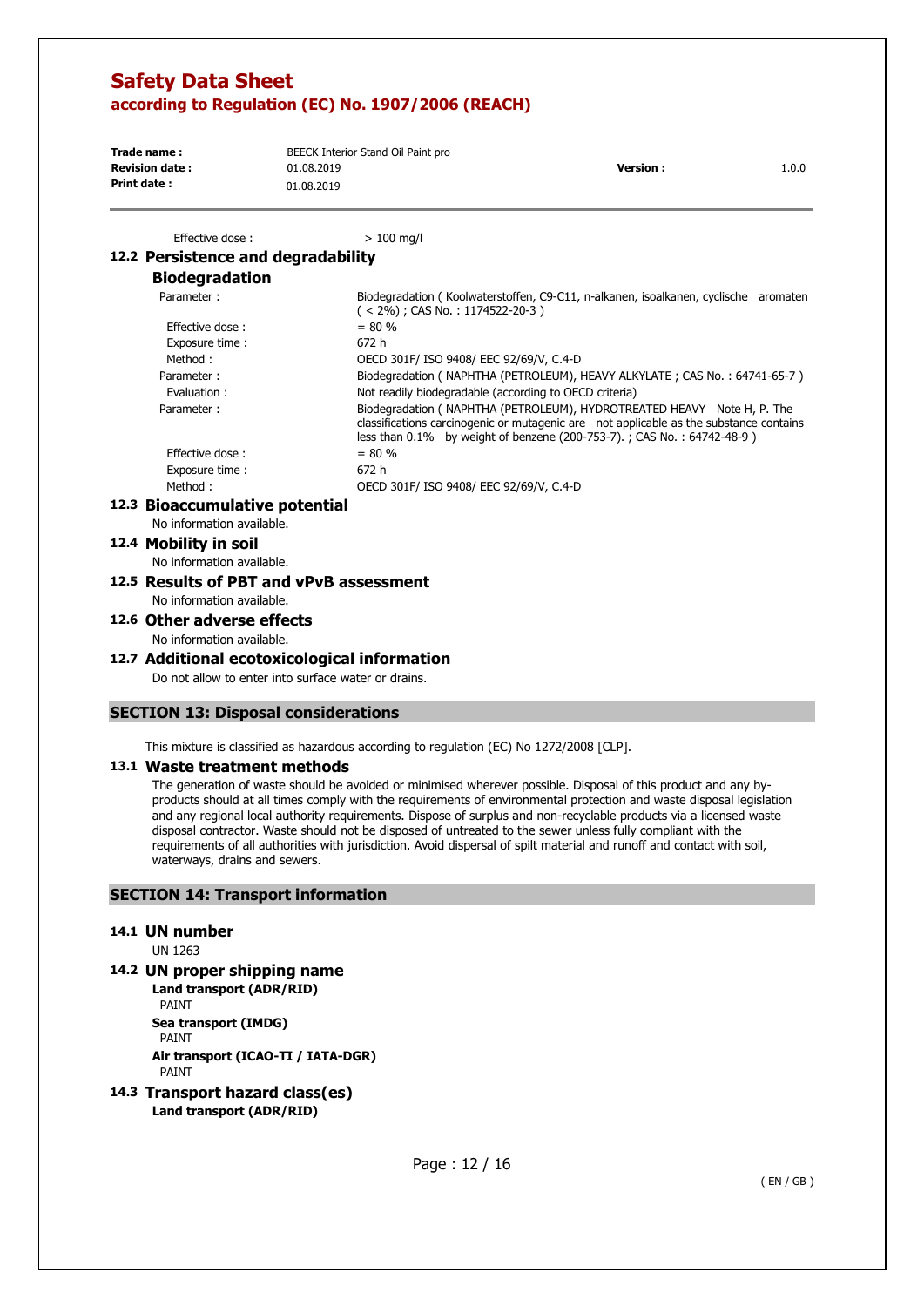| Trade name:           | BEECK Interior Stand Oil Paint pro |                  |       |
|-----------------------|------------------------------------|------------------|-------|
| <b>Revision date:</b> | 01.08.2019                         | <b>Version</b> : | 1.0.0 |
| Print date:           | 01.08.2019                         |                  |       |

Effective dose :  $> 100$  ma/l

## **12.2 Persistence and degradability**

## **Biodegradation**

| Parameter:      | Biodegradation (Koolwaterstoffen, C9-C11, n-alkanen, isoalkanen, cyclische aromaten<br>$(< 2\%)$ ; CAS No.: 1174522-20-3)                                                                                                                  |
|-----------------|--------------------------------------------------------------------------------------------------------------------------------------------------------------------------------------------------------------------------------------------|
| Effective dose: | $= 80 \%$                                                                                                                                                                                                                                  |
| Exposure time:  | 672 h                                                                                                                                                                                                                                      |
| Method:         | OECD 301F/ ISO 9408/ EEC 92/69/V, C.4-D                                                                                                                                                                                                    |
| Parameter:      | Biodegradation (NAPHTHA (PETROLEUM), HEAVY ALKYLATE; CAS No.: 64741-65-7)                                                                                                                                                                  |
| Evaluation:     | Not readily biodegradable (according to OECD criteria)                                                                                                                                                                                     |
| Parameter:      | Biodegradation (NAPHTHA (PETROLEUM), HYDROTREATED HEAVY Note H, P. The<br>classifications carcinogenic or mutagenic are not applicable as the substance contains<br>less than 0.1% by weight of benzene (200-753-7).; CAS No.: 64742-48-9) |
| Effective dose: | $= 80 \%$                                                                                                                                                                                                                                  |
| Exposure time:  | 672 h                                                                                                                                                                                                                                      |
| Method:         | OECD 301F/ ISO 9408/ EEC 92/69/V, C.4-D                                                                                                                                                                                                    |
|                 |                                                                                                                                                                                                                                            |

#### **12.3 Bioaccumulative potential**

No information available.

### **12.4 Mobility in soil**

No information available.

**12.5 Results of PBT and vPvB assessment**  No information available.

## **12.6 Other adverse effects**

No information available.

#### **12.7 Additional ecotoxicological information**

Do not allow to enter into surface water or drains.

### **SECTION 13: Disposal considerations**

This mixture is classified as hazardous according to regulation (EC) No 1272/2008 [CLP].

### **13.1 Waste treatment methods**

The generation of waste should be avoided or minimised wherever possible. Disposal of this product and any byproducts should at all times comply with the requirements of environmental protection and waste disposal legislation and any regional local authority requirements. Dispose of surplus and non-recyclable products via a licensed waste disposal contractor. Waste should not be disposed of untreated to the sewer unless fully compliant with the requirements of all authorities with jurisdiction. Avoid dispersal of spilt material and runoff and contact with soil, waterways, drains and sewers.

## **SECTION 14: Transport information**

#### **14.1 UN number**

UN 1263

**14.2 UN proper shipping name** 

**Land transport (ADR/RID)**  PAINT **Sea transport (IMDG)**  PAINT **Air transport (ICAO-TI / IATA-DGR)**  PAINT

**14.3 Transport hazard class(es) Land transport (ADR/RID)**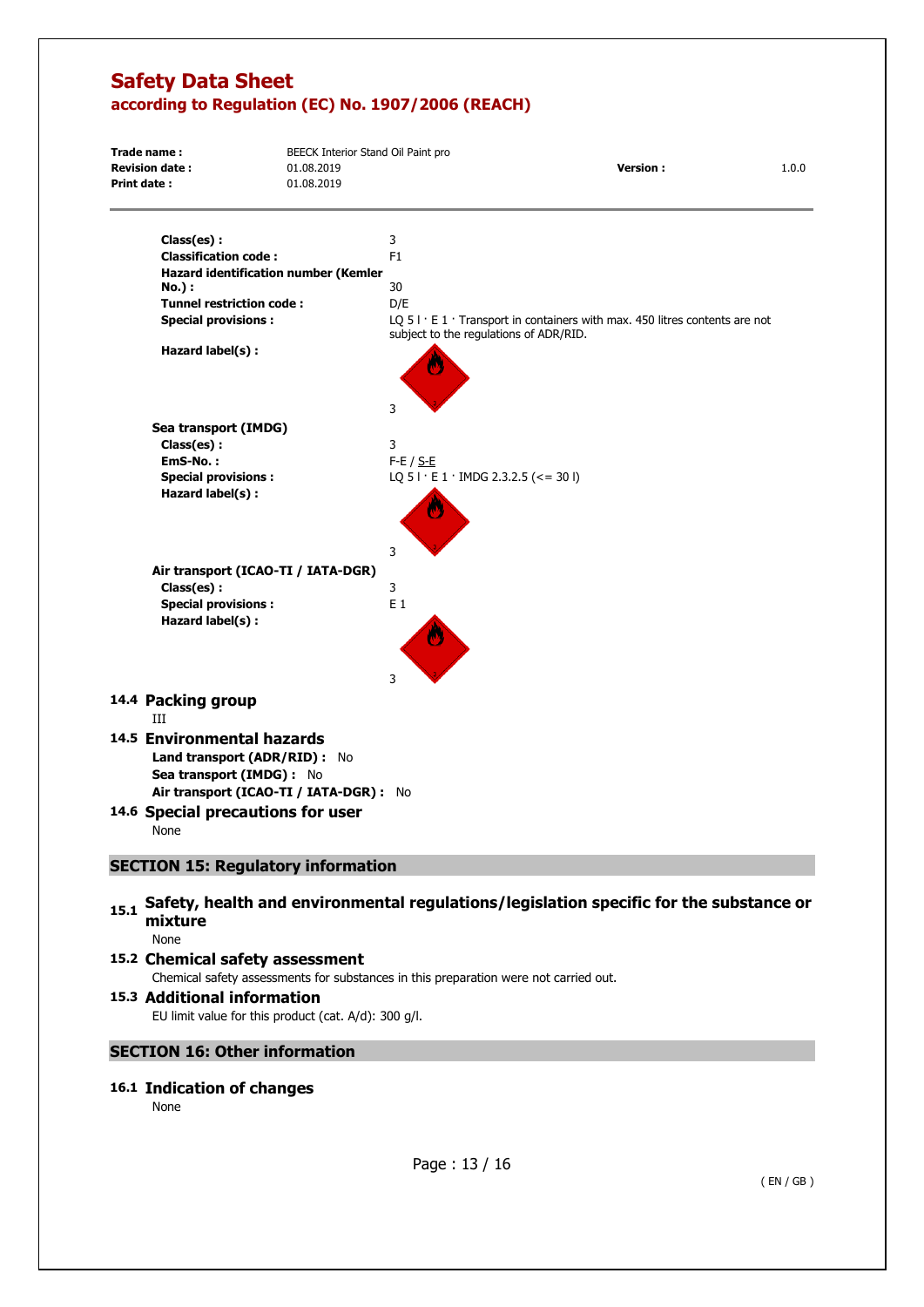| Trade name:                                 | BEECK Interior Stand Oil Paint pro |                                               |                                                                                      |       |  |
|---------------------------------------------|------------------------------------|-----------------------------------------------|--------------------------------------------------------------------------------------|-------|--|
| <b>Revision date:</b>                       | 01.08.2019                         |                                               | <b>Version:</b>                                                                      | 1.0.0 |  |
| <b>Print date:</b>                          | 01.08.2019                         |                                               |                                                                                      |       |  |
| Class(es):                                  |                                    | 3                                             |                                                                                      |       |  |
| <b>Classification code:</b>                 |                                    | F <sub>1</sub>                                |                                                                                      |       |  |
| <b>Hazard identification number (Kemler</b> |                                    |                                               |                                                                                      |       |  |
| No.) :                                      |                                    | 30                                            |                                                                                      |       |  |
| <b>Tunnel restriction code:</b>             |                                    | D/E                                           |                                                                                      |       |  |
| <b>Special provisions:</b>                  |                                    | subject to the regulations of ADR/RID.        | LQ $51 \cdot E1 \cdot$ Transport in containers with max. 450 litres contents are not |       |  |
| Hazard label(s) :                           |                                    |                                               |                                                                                      |       |  |
|                                             |                                    | 3                                             |                                                                                      |       |  |
| Sea transport (IMDG)                        |                                    |                                               |                                                                                      |       |  |
| Class(es):                                  |                                    | 3                                             |                                                                                      |       |  |
| EmS-No.:                                    |                                    | $F-E / S-E$                                   |                                                                                      |       |  |
| <b>Special provisions:</b>                  |                                    | LQ $51 \cdot E1 \cdot$ IMDG 2.3.2.5 (<= 30 I) |                                                                                      |       |  |
| Hazard label(s) :                           |                                    |                                               |                                                                                      |       |  |
|                                             |                                    | 3                                             |                                                                                      |       |  |
| Air transport (ICAO-TI / IATA-DGR)          |                                    |                                               |                                                                                      |       |  |
| Class(es):                                  |                                    | 3                                             |                                                                                      |       |  |
| <b>Special provisions:</b>                  |                                    | $E_1$                                         |                                                                                      |       |  |
| Hazard label(s) :                           |                                    |                                               |                                                                                      |       |  |
|                                             |                                    | 3                                             |                                                                                      |       |  |
| 14.4 Packing group<br>III                   |                                    |                                               |                                                                                      |       |  |
| 14.5 Environmental hazards                  |                                    |                                               |                                                                                      |       |  |
| Land transport (ADR/RID) : No               |                                    |                                               |                                                                                      |       |  |
| Sea transport (IMDG) : No                   |                                    |                                               |                                                                                      |       |  |
| Air transport (ICAO-TI / IATA-DGR) : No     |                                    |                                               |                                                                                      |       |  |
|                                             |                                    |                                               |                                                                                      |       |  |
| 14.6 Special precautions for user           |                                    |                                               |                                                                                      |       |  |
| None                                        |                                    |                                               |                                                                                      |       |  |
| <b>SECTION 15: Regulatory information</b>   |                                    |                                               |                                                                                      |       |  |

## 15.1 Safety, health and environmental regulations/legislation specific for the substance or **mixture**

None

### **15.2 Chemical safety assessment**  Chemical safety assessments for substances in this preparation were not carried out.

### **15.3 Additional information**  EU limit value for this product (cat. A/d): 300 g/l.

## **SECTION 16: Other information**

## **16.1 Indication of changes**

None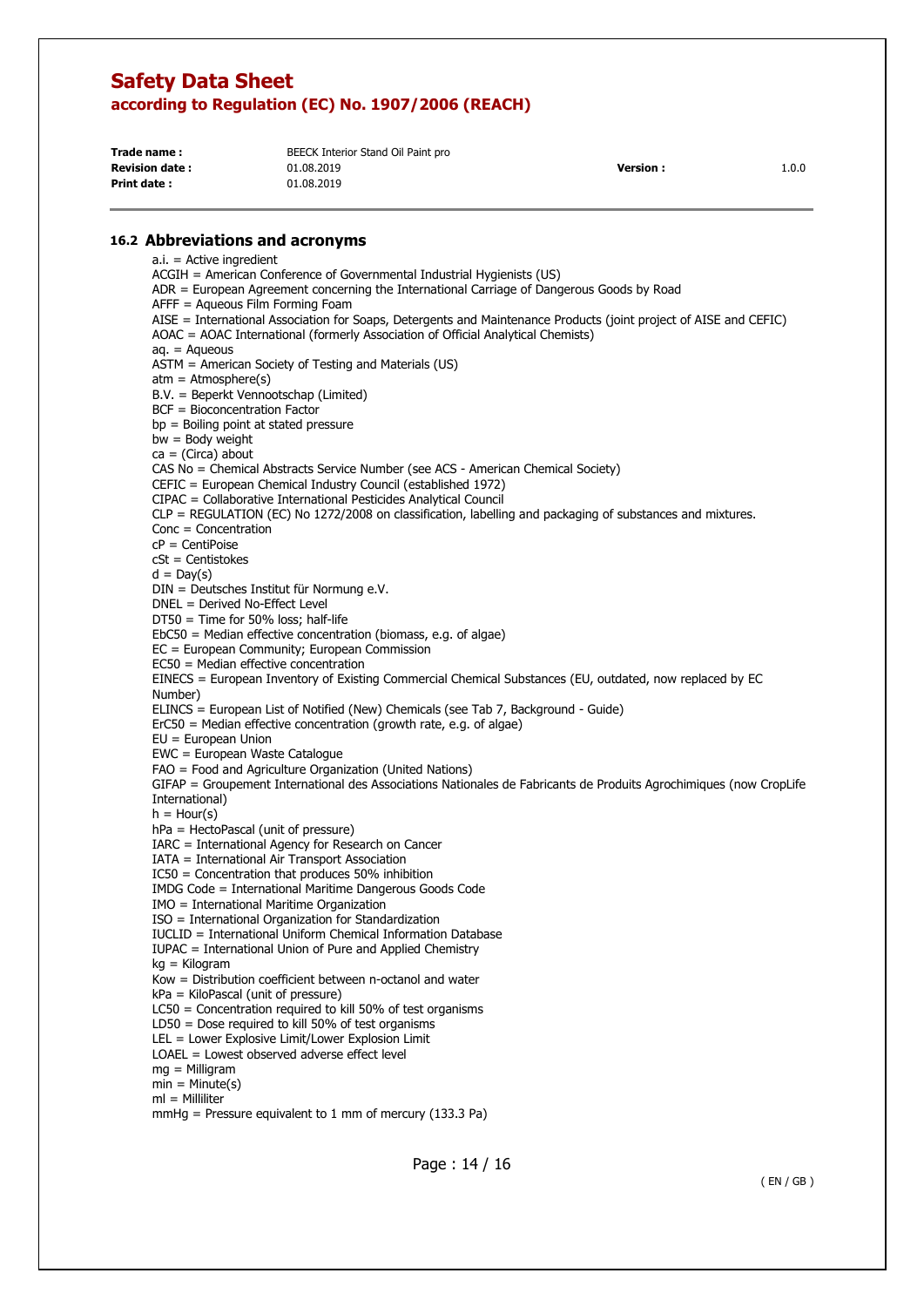| Trade name:           | BEECK Interior Stand Oil Paint pro |                 |       |
|-----------------------|------------------------------------|-----------------|-------|
| <b>Revision date:</b> | 01.08.2019                         | <b>Version:</b> | 1.0.0 |
| <b>Print date:</b>    | 01.08.2019                         |                 |       |

#### **16.2 Abbreviations and acronyms**

a.i. = Active ingredient ACGIH = American Conference of Governmental Industrial Hygienists (US) ADR = European Agreement concerning the International Carriage of Dangerous Goods by Road AFFF = Aqueous Film Forming Foam AISE = International Association for Soaps, Detergents and Maintenance Products (joint project of AISE and CEFIC) AOAC = AOAC International (formerly Association of Official Analytical Chemists)  $a_n = A$ queous ASTM = American Society of Testing and Materials (US)  $atm = Atmosphere(s)$ B.V. = Beperkt Vennootschap (Limited) BCF = Bioconcentration Factor bp = Boiling point at stated pressure bw = Body weight  $ca = (Circa)$  about CAS No = Chemical Abstracts Service Number (see ACS - American Chemical Society) CEFIC = European Chemical Industry Council (established 1972) CIPAC = Collaborative International Pesticides Analytical Council CLP = REGULATION (EC) No 1272/2008 on classification, labelling and packaging of substances and mixtures. Conc = Concentration cP = CentiPoise cSt = Centistokes  $d = Day(s)$ DIN = Deutsches Institut für Normung e.V. DNEL = Derived No-Effect Level DT50 = Time for 50% loss; half-life EbC50 = Median effective concentration (biomass, e.g. of algae) EC = European Community; European Commission EC50 = Median effective concentration EINECS = European Inventory of Existing Commercial Chemical Substances (EU, outdated, now replaced by EC Number) ELINCS = European List of Notified (New) Chemicals (see Tab 7, Background - Guide)  $E r C50$  = Median effective concentration (growth rate, e.g. of algae) EU = European Union EWC = European Waste Catalogue FAO = Food and Agriculture Organization (United Nations) GIFAP = Groupement International des Associations Nationales de Fabricants de Produits Agrochimiques (now CropLife International)  $h =$  Hour(s) hPa = HectoPascal (unit of pressure) IARC = International Agency for Research on Cancer IATA = International Air Transport Association IC50 = Concentration that produces 50% inhibition IMDG Code = International Maritime Dangerous Goods Code IMO = International Maritime Organization ISO = International Organization for Standardization IUCLID = International Uniform Chemical Information Database IUPAC = International Union of Pure and Applied Chemistry kg = Kilogram Kow = Distribution coefficient between n-octanol and water kPa = KiloPascal (unit of pressure) LC50 = Concentration required to kill 50% of test organisms LD50 = Dose required to kill 50% of test organisms LEL = Lower Explosive Limit/Lower Explosion Limit LOAEL = Lowest observed adverse effect level mg = Milligram  $min = Minute(s)$  $ml =$  Milliliter mmHg = Pressure equivalent to 1 mm of mercury (133.3 Pa)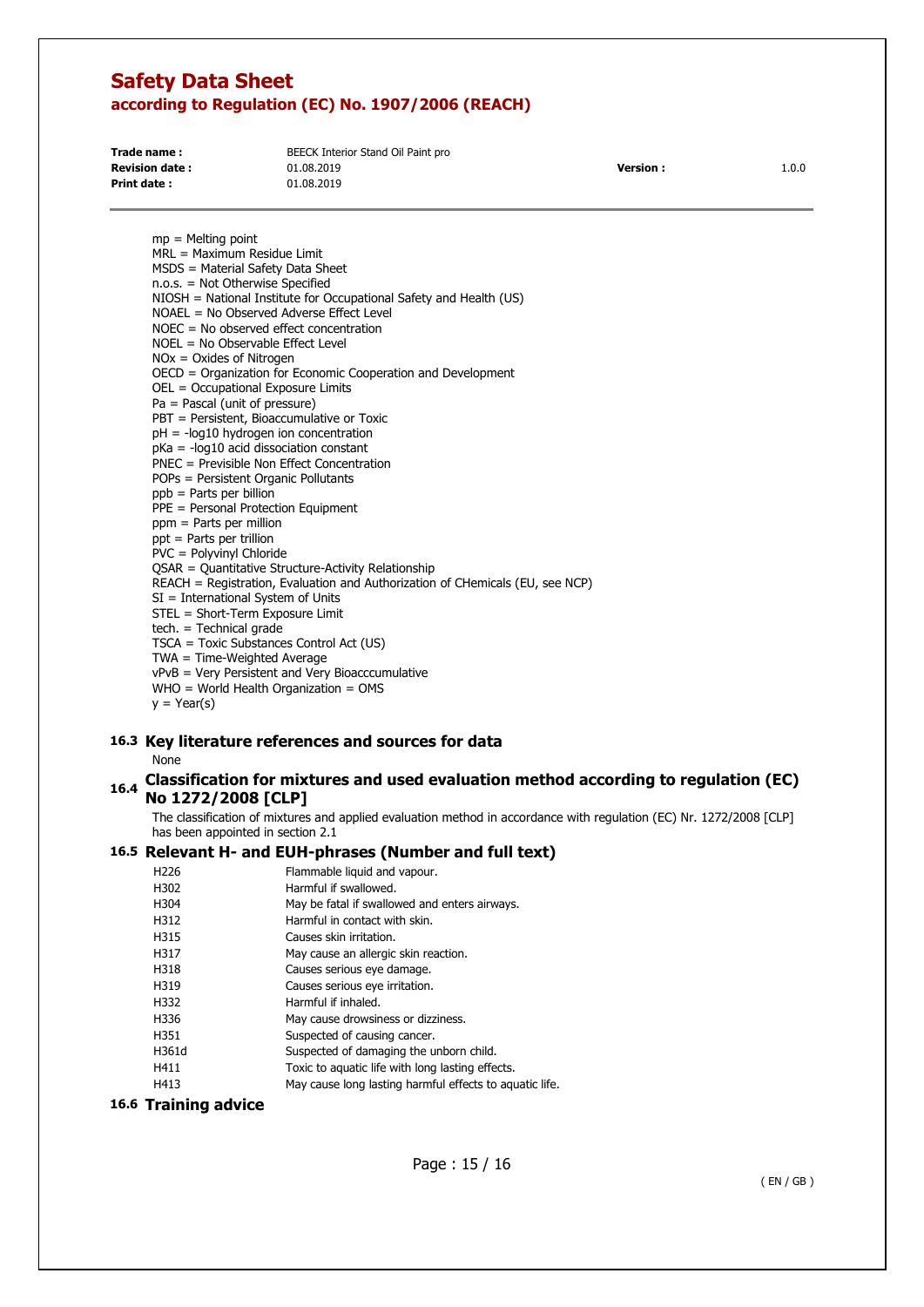| Trade name:            | BEECK Interior Stand Oil Paint pro |                 |       |
|------------------------|------------------------------------|-----------------|-------|
| <b>Revision date :</b> | 01.08.2019                         | <b>Version:</b> | 1.0.0 |
| Print date:            | 01.08.2019                         |                 |       |

mp = Melting point MRL = Maximum Residue Limit MSDS = Material Safety Data Sheet n.o.s. = Not Otherwise Specified NIOSH = National Institute for Occupational Safety and Health (US) NOAEL = No Observed Adverse Effect Level NOEC = No observed effect concentration NOEL = No Observable Effect Level NOx = Oxides of Nitrogen OECD = Organization for Economic Cooperation and Development OEL = Occupational Exposure Limits Pa = Pascal (unit of pressure) PBT = Persistent, Bioaccumulative or Toxic pH = -log10 hydrogen ion concentration  $p$ Ka = - $log10$  acid dissociation constant PNEC = Previsible Non Effect Concentration POPs = Persistent Organic Pollutants ppb = Parts per billion PPE = Personal Protection Equipment ppm = Parts per million ppt = Parts per trillion PVC = Polyvinyl Chloride QSAR = Quantitative Structure-Activity Relationship REACH = Registration, Evaluation and Authorization of CHemicals (EU, see NCP) SI = International System of Units STEL = Short-Term Exposure Limit tech. = Technical grade TSCA = Toxic Substances Control Act (US) TWA = Time-Weighted Average vPvB = Very Persistent and Very Bioacccumulative  $WHO = World Health Organization = OMS$  $y = \text{Year}(s)$ 

# **16.3 Key literature references and sources for data**

None

## **16.4 Classification for mixtures and used evaluation method according to regulation (EC) No 1272/2008 [CLP]**

The classification of mixtures and applied evaluation method in accordance with regulation (EC) Nr. 1272/2008 [CLP] has been appointed in section 2.1

## **16.5 Relevant H- and EUH-phrases (Number and full text)**

| H <sub>226</sub> | Flammable liquid and vapour.                            |
|------------------|---------------------------------------------------------|
| H302             | Harmful if swallowed.                                   |
| H304             | May be fatal if swallowed and enters airways.           |
| H312             | Harmful in contact with skin.                           |
| H315             | Causes skin irritation.                                 |
| H317             | May cause an allergic skin reaction.                    |
| H318             | Causes serious eye damage.                              |
| H319             | Causes serious eye irritation.                          |
| H332             | Harmful if inhaled.                                     |
| H336             | May cause drowsiness or dizziness.                      |
| H351             | Suspected of causing cancer.                            |
| H361d            | Suspected of damaging the unborn child.                 |
| H411             | Toxic to aquatic life with long lasting effects.        |
| H413             | May cause long lasting harmful effects to aquatic life. |

### **16.6 Training advice**